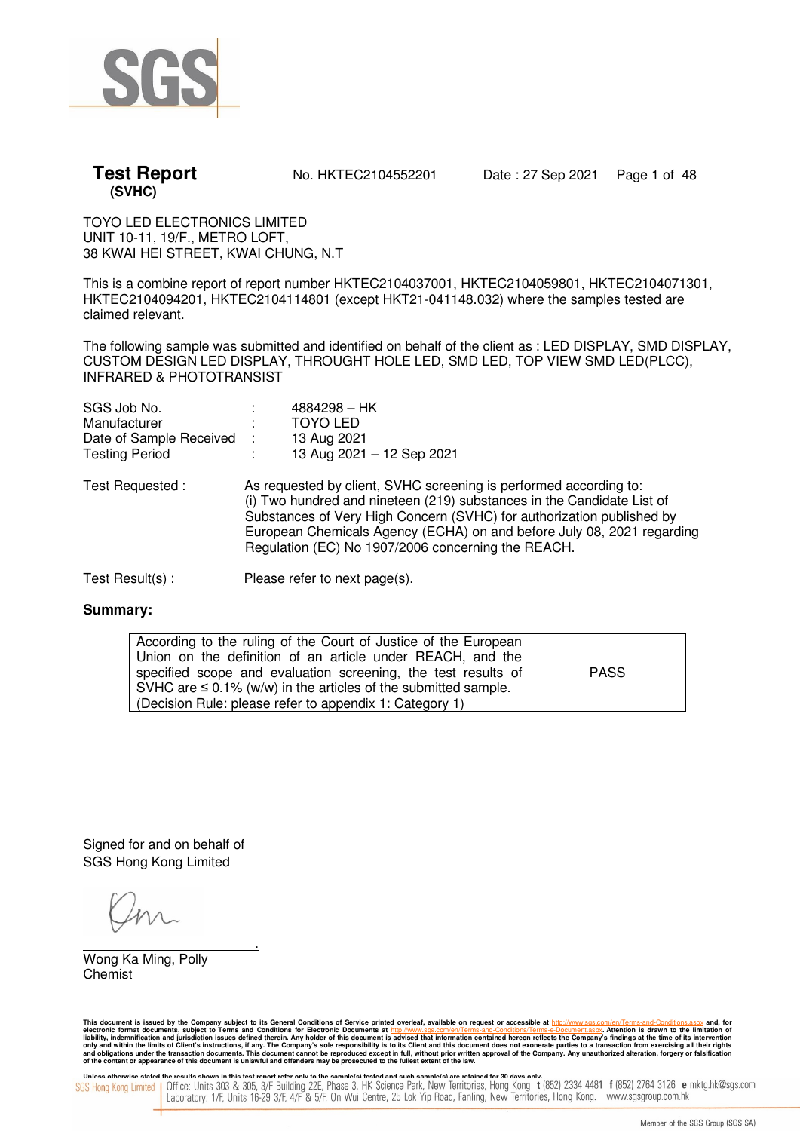

**Test Report** No. HKTEC2104552201 Date: 27 Sep 2021 Page 1 of 48

TOYO LED ELECTRONICS LIMITED UNIT 10-11, 19/F., METRO LOFT, 38 KWAI HEI STREET, KWAI CHUNG, N.T

This is a combine report of report number HKTEC2104037001, HKTEC2104059801, HKTEC2104071301, HKTEC2104094201, HKTEC2104114801 (except HKT21-041148.032) where the samples tested are claimed relevant.

The following sample was submitted and identified on behalf of the client as : LED DISPLAY, SMD DISPLAY, CUSTOM DESIGN LED DISPLAY, THROUGHT HOLE LED, SMD LED, TOP VIEW SMD LED(PLCC), INFRARED & PHOTOTRANSIST

| SGS Job No.             |      | $4884298 - HK$                                                                                                                                                                                                                                                                                                                                       |
|-------------------------|------|------------------------------------------------------------------------------------------------------------------------------------------------------------------------------------------------------------------------------------------------------------------------------------------------------------------------------------------------------|
| Manufacturer            |      | <b>TOYO LED</b>                                                                                                                                                                                                                                                                                                                                      |
| Date of Sample Received | - 11 | 13 Aug 2021                                                                                                                                                                                                                                                                                                                                          |
| <b>Testing Period</b>   |      | 13 Aug 2021 - 12 Sep 2021                                                                                                                                                                                                                                                                                                                            |
| Test Requested:         |      | As requested by client, SVHC screening is performed according to:<br>(i) Two hundred and nineteen (219) substances in the Candidate List of<br>Substances of Very High Concern (SVHC) for authorization published by<br>European Chemicals Agency (ECHA) on and before July 08, 2021 regarding<br>Regulation (EC) No 1907/2006 concerning the REACH. |
|                         |      |                                                                                                                                                                                                                                                                                                                                                      |

Test Result(s) : Please refer to next page(s).

### **Summary:**

| According to the ruling of the Court of Justice of the European     |             |
|---------------------------------------------------------------------|-------------|
| Union on the definition of an article under REACH, and the          |             |
| specified scope and evaluation screening, the test results of       | <b>PASS</b> |
| SVHC are $\leq$ 0.1% (w/w) in the articles of the submitted sample. |             |
| (Decision Rule: please refer to appendix 1: Category 1)             |             |

Signed for and on behalf of SGS Hong Kong Limited

 . Wong Ka Ming, Polly Chemist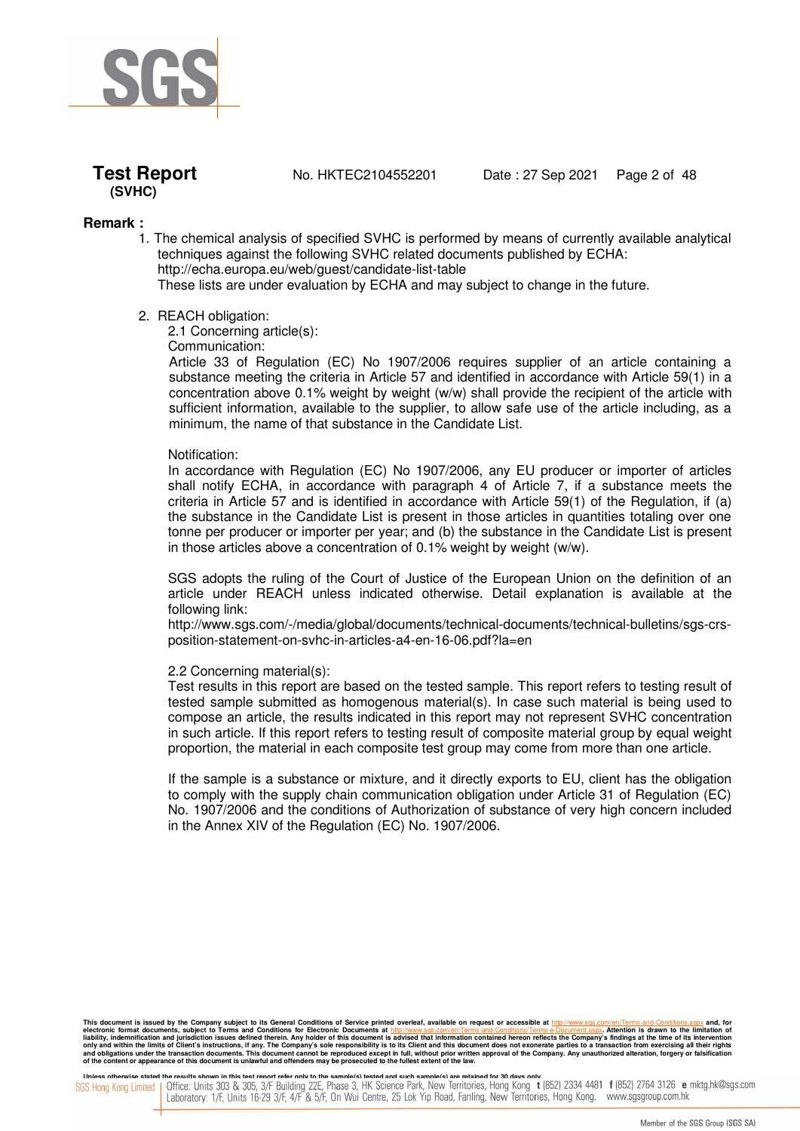

**Test Report** No. HKTEC2104552201 Date : 27 Sep 2021 Page 2 of 48

### **Remark :**

1. The chemical analysis of specified SVHC is performed by means of currently available analytical techniques against the following SVHC related documents published by ECHA: http://echa.europa.eu/web/guest/candidate-list-table These lists are under evaluation by ECHA and may subject to change in the future.

#### 2. REACH obligation:

2.1 Concerning article(s):

Communication:

Article 33 of Regulation (EC) No 1907/2006 requires supplier of an article containing a substance meeting the criteria in Article 57 and identified in accordance with Article 59(1) in a concentration above 0.1% weight by weight (w/w) shall provide the recipient of the article with sufficient information, available to the supplier, to allow safe use of the article including, as a minimum, the name of that substance in the Candidate List.

#### Notification:

In accordance with Regulation (EC) No 1907/2006, any EU producer or importer of articles shall notify ECHA, in accordance with paragraph 4 of Article 7, if a substance meets the criteria in Article 57 and is identified in accordance with Article 59(1) of the Regulation, if (a) the substance in the Candidate List is present in those articles in quantities totaling over one tonne per producer or importer per year; and (b) the substance in the Candidate List is present in those articles above a concentration of  $0.1\%$  weight by weight (w/w).

SGS adopts the ruling of the Court of Justice of the European Union on the definition of an article under REACH unless indicated otherwise. Detail explanation is available at the following link:

http://www.sgs.com/-/media/global/documents/technical-documents/technical-bulletins/sgs-crsposition-statement-on-svhc-in-articles-a4-en-16-06.pdf?la=en

#### 2.2 Concerning material(s):

Test results in this report are based on the tested sample. This report refers to testing result of tested sample submitted as homogenous material(s). In case such material is being used to compose an article, the results indicated in this report may not represent SVHC concentration in such article. If this report refers to testing result of composite material group by equal weight proportion, the material in each composite test group may come from more than one article.

If the sample is a substance or mixture, and it directly exports to EU, client has the obligation to comply with the supply chain communication obligation under Article 31 of Regulation (EC) No. 1907/2006 and the conditions of Authorization of substance of very high concern included in the Annex XIV of the Regulation (EC) No. 1907/2006.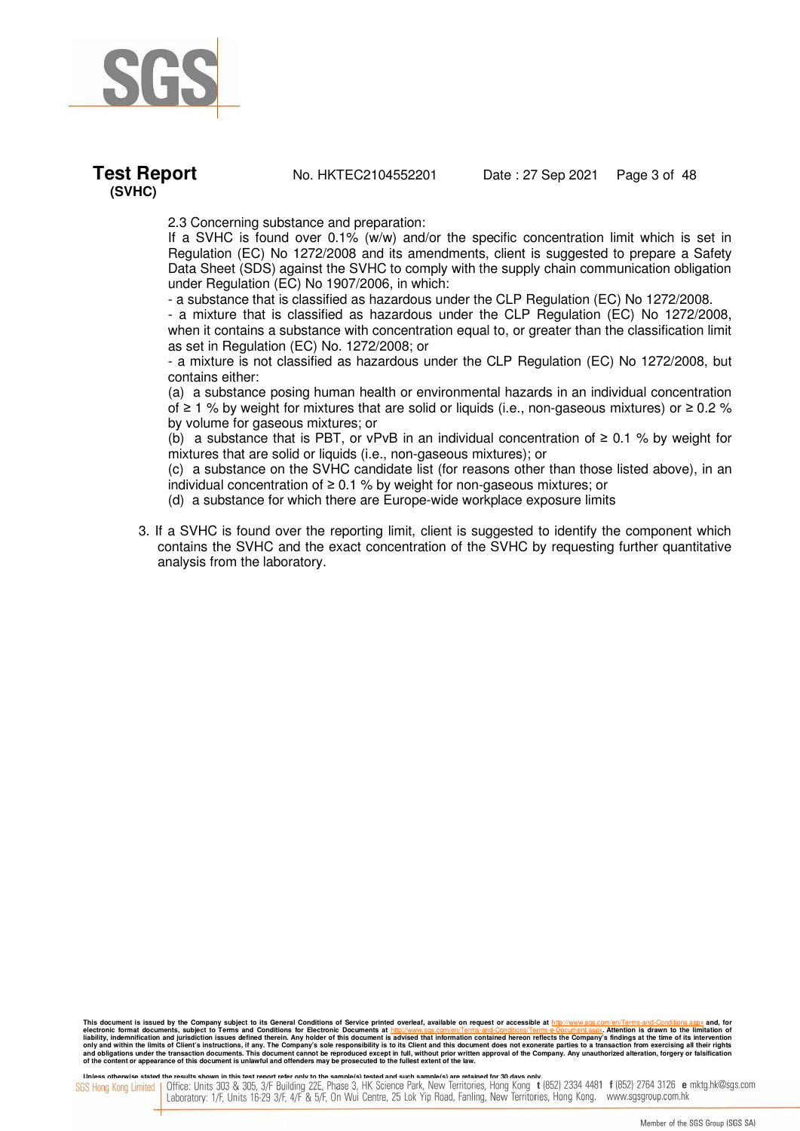

**Test Report** No. HKTEC2104552201 Date: 27 Sep 2021 Page 3 of 48

2.3 Concerning substance and preparation:

If a SVHC is found over 0.1% (w/w) and/or the specific concentration limit which is set in Regulation (EC) No 1272/2008 and its amendments, client is suggested to prepare a Safety Data Sheet (SDS) against the SVHC to comply with the supply chain communication obligation under Regulation (EC) No 1907/2006, in which:

- a substance that is classified as hazardous under the CLP Regulation (EC) No 1272/2008.

- a mixture that is classified as hazardous under the CLP Regulation (EC) No 1272/2008, when it contains a substance with concentration equal to, or greater than the classification limit as set in Regulation (EC) No. 1272/2008; or

- a mixture is not classified as hazardous under the CLP Regulation (EC) No 1272/2008, but contains either:

(a) a substance posing human health or environmental hazards in an individual concentration of ≥ 1 % by weight for mixtures that are solid or liquids (i.e., non-gaseous mixtures) or ≥ 0.2 % by volume for gaseous mixtures; or

(b) a substance that is PBT, or vPvB in an individual concentration of  $\geq 0.1$  % by weight for mixtures that are solid or liquids (i.e., non-gaseous mixtures); or

(c) a substance on the SVHC candidate list (for reasons other than those listed above), in an individual concentration of ≥ 0.1 % by weight for non-gaseous mixtures; or

- (d) a substance for which there are Europe-wide workplace exposure limits
- 3. If a SVHC is found over the reporting limit, client is suggested to identify the component which contains the SVHC and the exact concentration of the SVHC by requesting further quantitative analysis from the laboratory.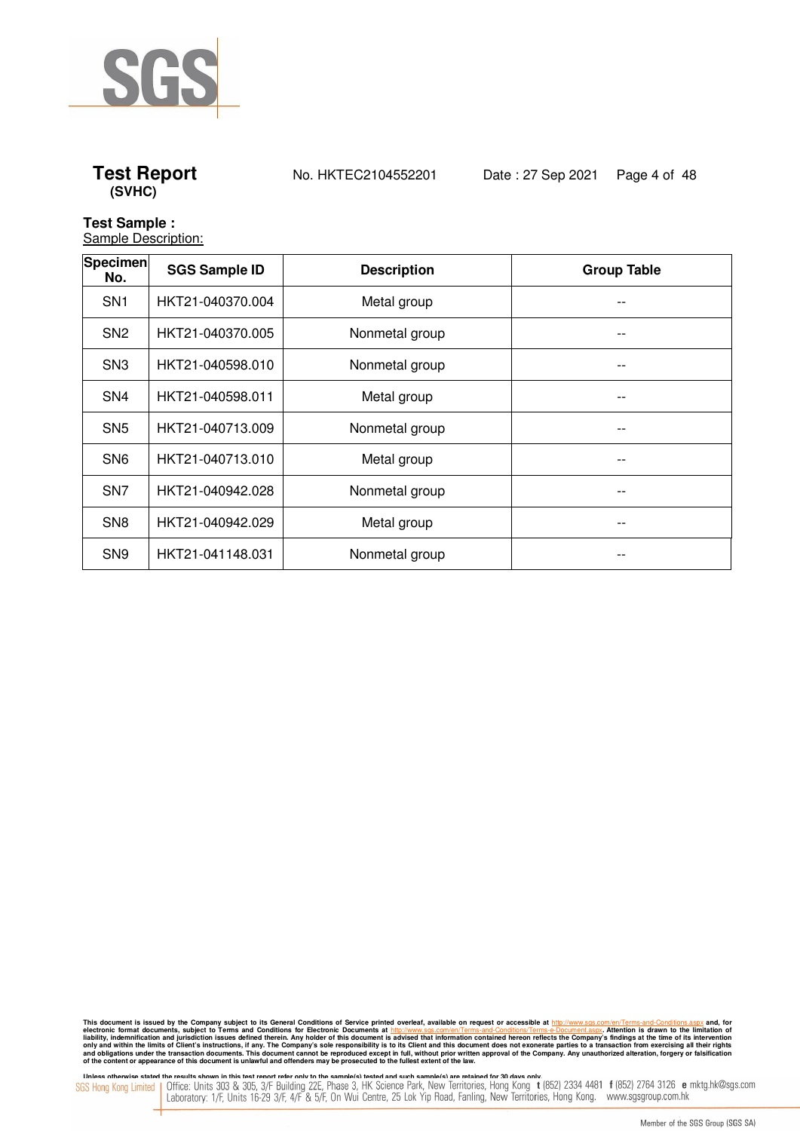

**Test Report** No. HKTEC2104552201 Date : 27 Sep 2021 Page 4 of 48

### **Test Sample :**

**Sample Description:** 

| <b>Specimen</b><br>No. | <b>SGS Sample ID</b> | <b>Description</b> | <b>Group Table</b> |
|------------------------|----------------------|--------------------|--------------------|
| SN <sub>1</sub>        | HKT21-040370.004     | Metal group        | --                 |
| SN <sub>2</sub>        | HKT21-040370.005     | Nonmetal group     |                    |
| SN <sub>3</sub>        | HKT21-040598.010     | Nonmetal group     | $ -$               |
| SN <sub>4</sub>        | HKT21-040598.011     | Metal group        | --                 |
| SN <sub>5</sub>        | HKT21-040713.009     | Nonmetal group     | $- -$              |
| SN <sub>6</sub>        | HKT21-040713.010     | Metal group        | --                 |
| SN <sub>7</sub>        | HKT21-040942.028     | Nonmetal group     |                    |
| SN <sub>8</sub>        | HKT21-040942.029     | Metal group        | $- -$              |
| SN <sub>9</sub>        | HKT21-041148.031     | Nonmetal group     |                    |

This document is issued by the Company subject to its General Conditions of Service printed overleaf, available on request or accessible at http://www.sgs.com/en/Terms-and-Conditions.aspx and, for electronic formats and Co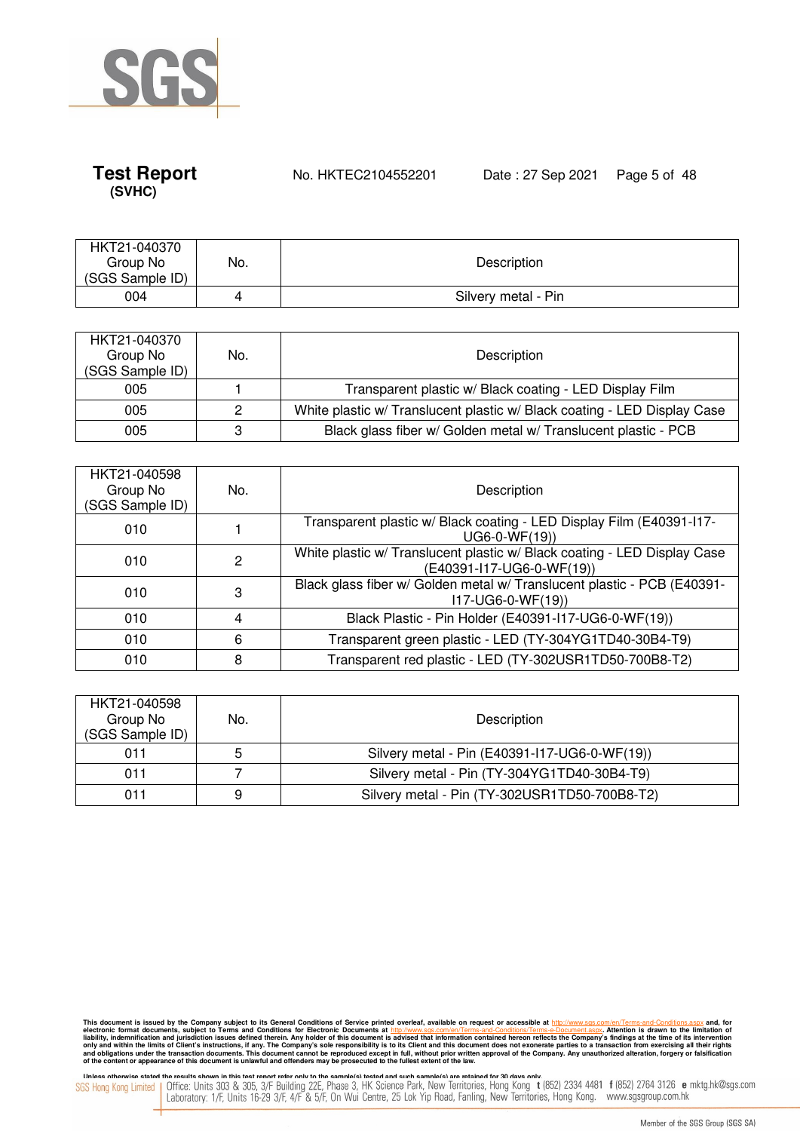

**Test Report** No. HKTEC2104552201 Date : 27 Sep 2021 Page 5 of 48

| HKT21-040370<br>Group No<br>(SGS Sample ID) | No. | Description         |
|---------------------------------------------|-----|---------------------|
| 004                                         |     | Silvery metal - Pin |

| HKT21-040370<br>Group No<br>(SGS Sample ID) | No. | Description                                                              |
|---------------------------------------------|-----|--------------------------------------------------------------------------|
| 005                                         |     | Transparent plastic w/ Black coating - LED Display Film                  |
| 005                                         | 2   | White plastic w/ Translucent plastic w/ Black coating - LED Display Case |
| 005                                         | 3   | Black glass fiber w/ Golden metal w/ Translucent plastic - PCB           |

| HKT21-040598<br>Group No<br>(SGS Sample ID) | No. | Description                                                                                           |
|---------------------------------------------|-----|-------------------------------------------------------------------------------------------------------|
| 010                                         |     | Transparent plastic w/ Black coating - LED Display Film (E40391-l17-<br>$UG6-0-WF(19)$                |
| 010                                         | 2   | White plastic w/ Translucent plastic w/ Black coating - LED Display Case<br>(E40391-I17-UG6-0-WF(19)) |
| 010                                         | 3   | Black glass fiber w/ Golden metal w/ Translucent plastic - PCB (E40391-<br>117-UG6-0-WF(19))          |
| 010                                         | 4   | Black Plastic - Pin Holder (E40391-117-UG6-0-WF(19))                                                  |
| 010                                         | 6   | Transparent green plastic - LED (TY-304YG1TD40-30B4-T9)                                               |
| 010                                         | 8   | Transparent red plastic - LED (TY-302USR1TD50-700B8-T2)                                               |

| HKT21-040598<br>Group No<br>(SGS Sample ID) | No. | Description                                   |
|---------------------------------------------|-----|-----------------------------------------------|
| 011                                         | 5   | Silvery metal - Pin (E40391-117-UG6-0-WF(19)) |
| 011                                         |     | Silvery metal - Pin (TY-304YG1TD40-30B4-T9)   |
| 011                                         | 9   | Silvery metal - Pin (TY-302USR1TD50-700B8-T2) |

This document is issued by the Company subject to its General Conditions of Service printed overleaf, available on request or accessible at http://www.sgs.com/en/Terms-and-Conditions.aspx and, for electronic formats and Co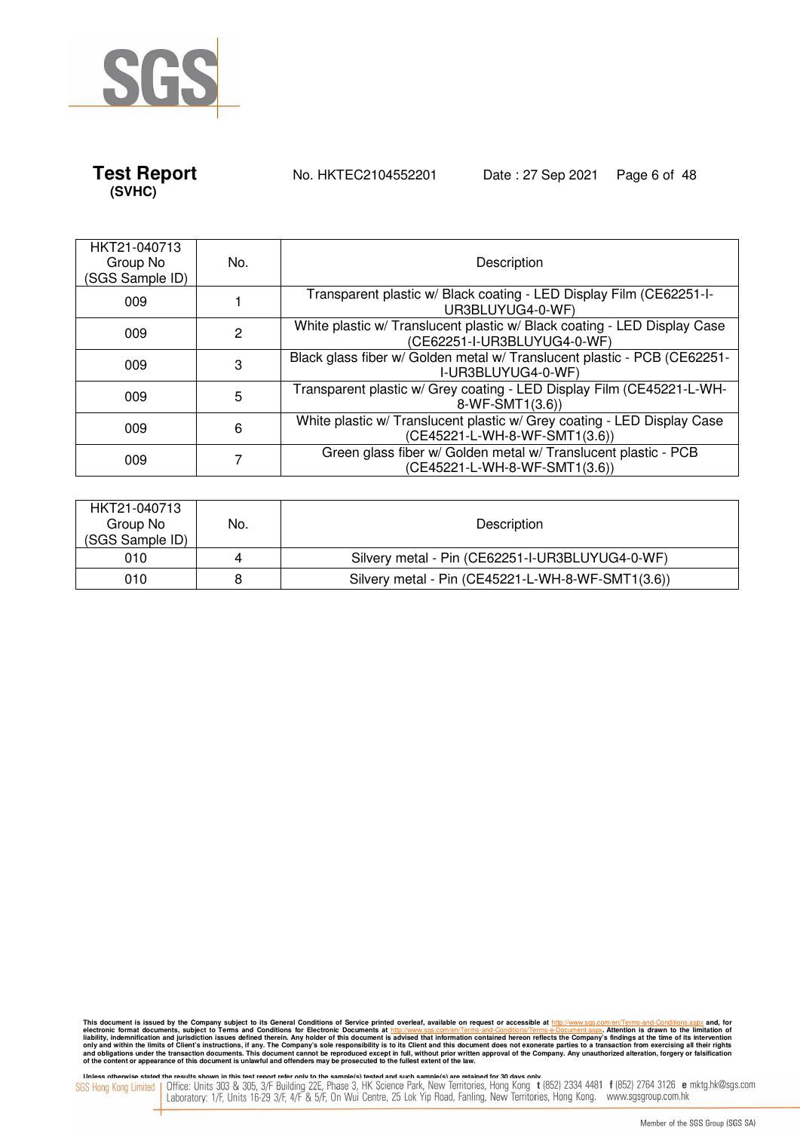

**Test Report** No. HKTEC2104552201 Date : 27 Sep 2021 Page 6 of 48

| HKT21-040713<br>Group No<br>(SGS Sample ID) | No. | Description                                                                                              |
|---------------------------------------------|-----|----------------------------------------------------------------------------------------------------------|
| 009                                         |     | Transparent plastic w/ Black coating - LED Display Film (CE62251-I-<br>UR3BLUYUG4-0-WF)                  |
| 009                                         | 2   | White plastic w/ Translucent plastic w/ Black coating - LED Display Case<br>(CE62251-I-UR3BLUYUG4-0-WF)  |
| 009                                         | 3   | Black glass fiber w/ Golden metal w/ Translucent plastic - PCB (CE62251-<br>I-UR3BLUYUG4-0-WF)           |
| 009                                         | 5   | Transparent plastic w/ Grey coating - LED Display Film (CE45221-L-WH-<br>8-WF-SMT1(3.6))                 |
| 009                                         | 6   | White plastic w/ Translucent plastic w/ Grey coating - LED Display Case<br>(CE45221-L-WH-8-WF-SMT1(3.6)) |
| 009                                         |     | Green glass fiber w/ Golden metal w/ Translucent plastic - PCB<br>(CE45221-L-WH-8-WF-SMT1(3.6))          |

| HKT21-040713<br>Group No<br>(SGS Sample ID) | No. | Description                                       |
|---------------------------------------------|-----|---------------------------------------------------|
| 010                                         | 4   | Silvery metal - Pin (CE62251-I-UR3BLUYUG4-0-WF)   |
| 010                                         | 8   | Silvery metal - Pin (CE45221-L-WH-8-WF-SMT1(3.6)) |

This document is issued by the Company subject to its General Conditions of Service printed overleaf, available on request or accessible at http://www.sgs.com/en/Terms-and-Conditions.aspx and, for electronic formats and Co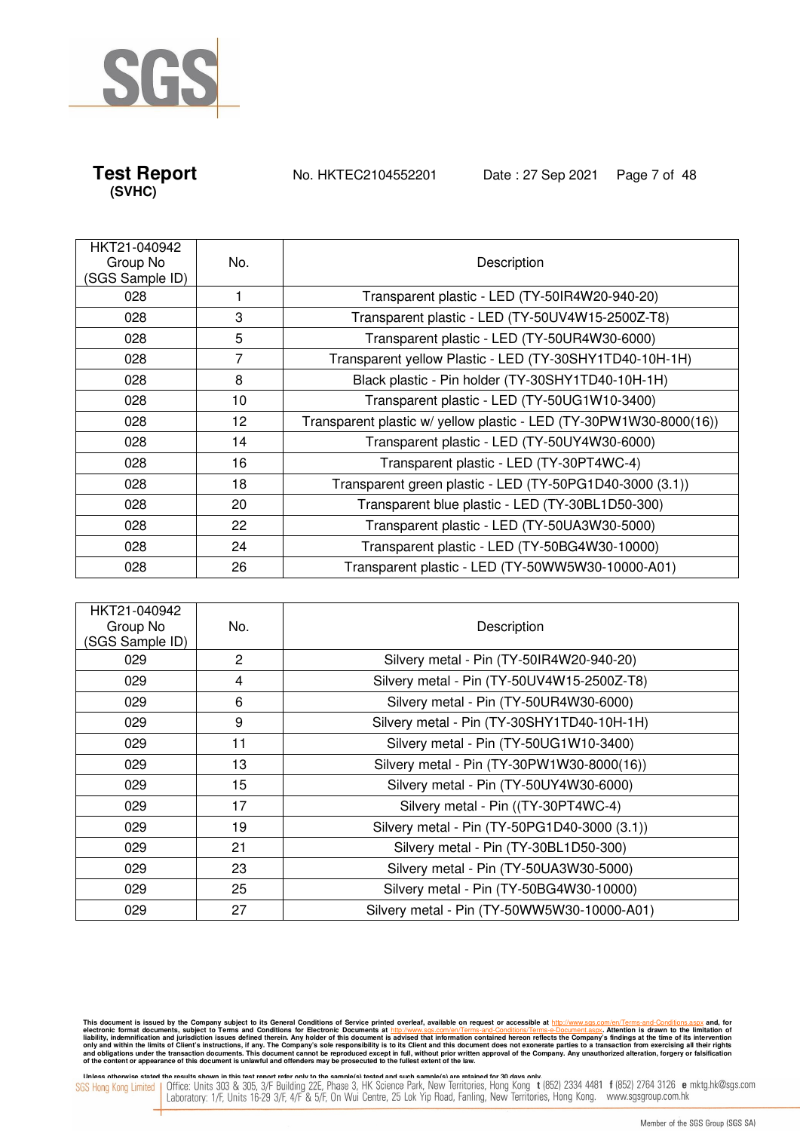

**Test Report** No. HKTEC2104552201 Date : 27 Sep 2021 Page 7 of 48

| HKT21-040942<br>Group No<br>(SGS Sample ID) | No. | Description                                                        |
|---------------------------------------------|-----|--------------------------------------------------------------------|
| 028                                         |     | Transparent plastic - LED (TY-50IR4W20-940-20)                     |
| 028                                         | 3   | Transparent plastic - LED (TY-50UV4W15-2500Z-T8)                   |
| 028                                         | 5   | Transparent plastic - LED (TY-50UR4W30-6000)                       |
| 028                                         | 7   | Transparent yellow Plastic - LED (TY-30SHY1TD40-10H-1H)            |
| 028                                         | 8   | Black plastic - Pin holder (TY-30SHY1TD40-10H-1H)                  |
| 028                                         | 10  | Transparent plastic - LED (TY-50UG1W10-3400)                       |
| 028                                         | 12  | Transparent plastic w/ yellow plastic - LED (TY-30PW1W30-8000(16)) |
| 028                                         | 14  | Transparent plastic - LED (TY-50UY4W30-6000)                       |
| 028                                         | 16  | Transparent plastic - LED (TY-30PT4WC-4)                           |
| 028                                         | 18  | Transparent green plastic - LED (TY-50PG1D40-3000 (3.1))           |
| 028                                         | 20  | Transparent blue plastic - LED (TY-30BL1D50-300)                   |
| 028                                         | 22  | Transparent plastic - LED (TY-50UA3W30-5000)                       |
| 028                                         | 24  | Transparent plastic - LED (TY-50BG4W30-10000)                      |
| 028                                         | 26  | Transparent plastic - LED (TY-50WW5W30-10000-A01)                  |

| HKT21-040942<br>Group No<br>(SGS Sample ID) | No. | Description                                  |
|---------------------------------------------|-----|----------------------------------------------|
| 029                                         | 2   | Silvery metal - Pin (TY-50IR4W20-940-20)     |
| 029                                         | 4   | Silvery metal - Pin (TY-50UV4W15-2500Z-T8)   |
| 029                                         | 6   | Silvery metal - Pin (TY-50UR4W30-6000)       |
| 029                                         | 9   | Silvery metal - Pin (TY-30SHY1TD40-10H-1H)   |
| 029                                         | 11  | Silvery metal - Pin (TY-50UG1W10-3400)       |
| 029                                         | 13  | Silvery metal - Pin (TY-30PW1W30-8000(16))   |
| 029                                         | 15  | Silvery metal - Pin (TY-50UY4W30-6000)       |
| 029                                         | 17  | Silvery metal - Pin ((TY-30PT4WC-4)          |
| 029                                         | 19  | Silvery metal - Pin (TY-50PG1D40-3000 (3.1)) |
| 029                                         | 21  | Silvery metal - Pin (TY-30BL1D50-300)        |
| 029                                         | 23  | Silvery metal - Pin (TY-50UA3W30-5000)       |
| 029                                         | 25  | Silvery metal - Pin (TY-50BG4W30-10000)      |
| 029                                         | 27  | Silvery metal - Pin (TY-50WW5W30-10000-A01)  |

This document is issued by the Company subject to its General Conditions of Service printed overleaf, available on request or accessible at http://www.sgs.com/en/Terms-and-Conditions.aspx and, for electronic formats and Co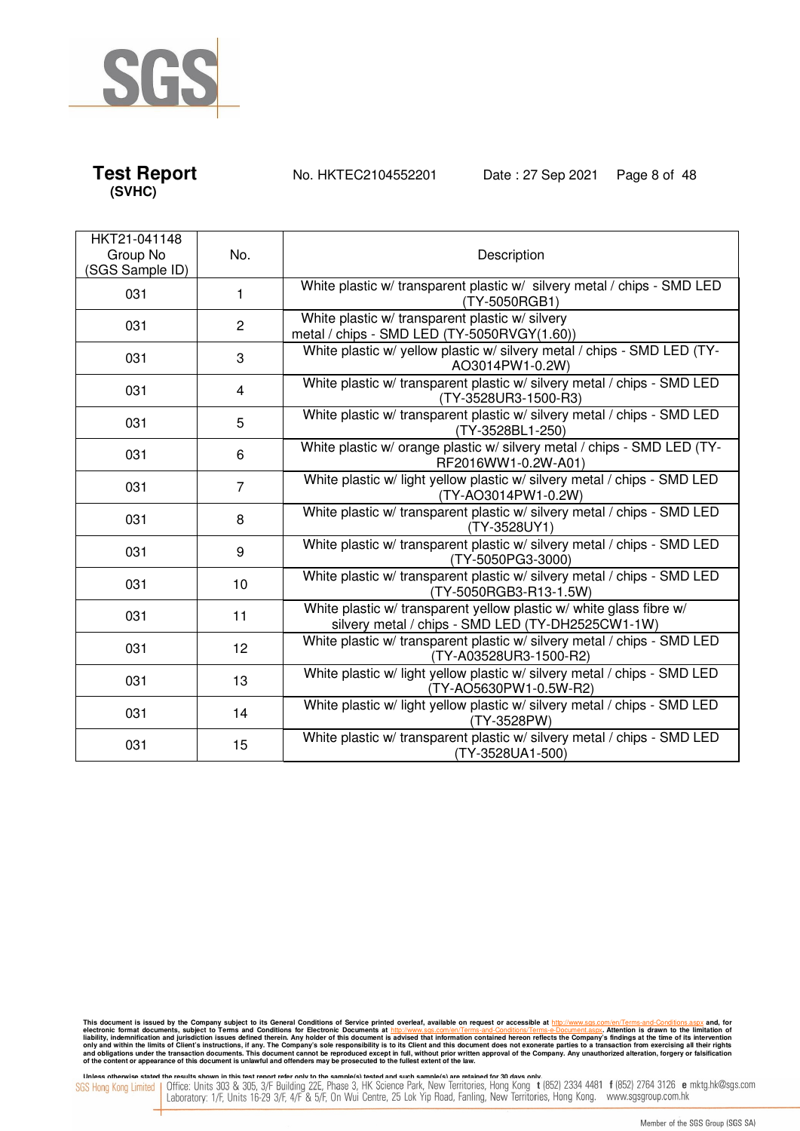

**Test Report** No. HKTEC2104552201 Date : 27 Sep 2021 Page 8 of 48

| HKT21-041148<br>Group No<br>(SGS Sample ID) | No.            | Description                                                                                                              |
|---------------------------------------------|----------------|--------------------------------------------------------------------------------------------------------------------------|
| 031                                         | 1              | White plastic w/ transparent plastic w/ silvery metal / chips - SMD LED<br>(TY-5050RGB1)                                 |
| 031                                         | $\overline{2}$ | White plastic w/ transparent plastic w/ silvery<br>metal / chips - SMD LED (TY-5050RVGY(1.60))                           |
| 031                                         | 3              | White plastic w/ yellow plastic w/ silvery metal / chips - SMD LED (TY-<br>AO3014PW1-0.2W)                               |
| 031                                         | 4              | White plastic w/ transparent plastic w/ silvery metal / chips - SMD LED<br>(TY-3528UR3-1500-R3)                          |
| 031                                         | 5              | White plastic w/ transparent plastic w/ silvery metal / chips - SMD LED<br>(TY-3528BL1-250)                              |
| 031                                         | 6              | White plastic w/ orange plastic w/ silvery metal / chips - SMD LED (TY-<br>RF2016WW1-0.2W-A01)                           |
| 031                                         | $\overline{7}$ | White plastic w/ light yellow plastic w/ silvery metal / chips - SMD LED<br>(TY-AO3014PW1-0.2W)                          |
| 031                                         | 8              | White plastic w/ transparent plastic w/ silvery metal / chips - SMD LED<br>(TY-3528UY1)                                  |
| 031                                         | 9              | White plastic w/ transparent plastic w/ silvery metal / chips - SMD LED<br>(TY-5050PG3-3000)                             |
| 031                                         | 10             | White plastic w/ transparent plastic w/ silvery metal / chips - SMD LED<br>(TY-5050RGB3-R13-1.5W)                        |
| 031                                         | 11             | White plastic w/ transparent yellow plastic w/ white glass fibre w/<br>silvery metal / chips - SMD LED (TY-DH2525CW1-1W) |
| 031                                         | 12             | White plastic w/ transparent plastic w/ silvery metal / chips - SMD LED<br>(TY-A03528UR3-1500-R2)                        |
| 031                                         | 13             | White plastic w/ light yellow plastic w/ silvery metal / chips - SMD LED<br>(TY-AO5630PW1-0.5W-R2)                       |
| 031                                         | 14             | White plastic w/ light yellow plastic w/ silvery metal / chips - SMD LED<br>(TY-3528PW)                                  |
| 031                                         | 15             | White plastic w/ transparent plastic w/ silvery metal / chips - SMD LED<br>(TY-3528UA1-500)                              |

This document is issued by the Company subject to its General Conditions of Service printed overleaf, available on request or accessible at http://www.sgs.com/en/Terms-and-Conditions.aspx and, for electronic formats and Co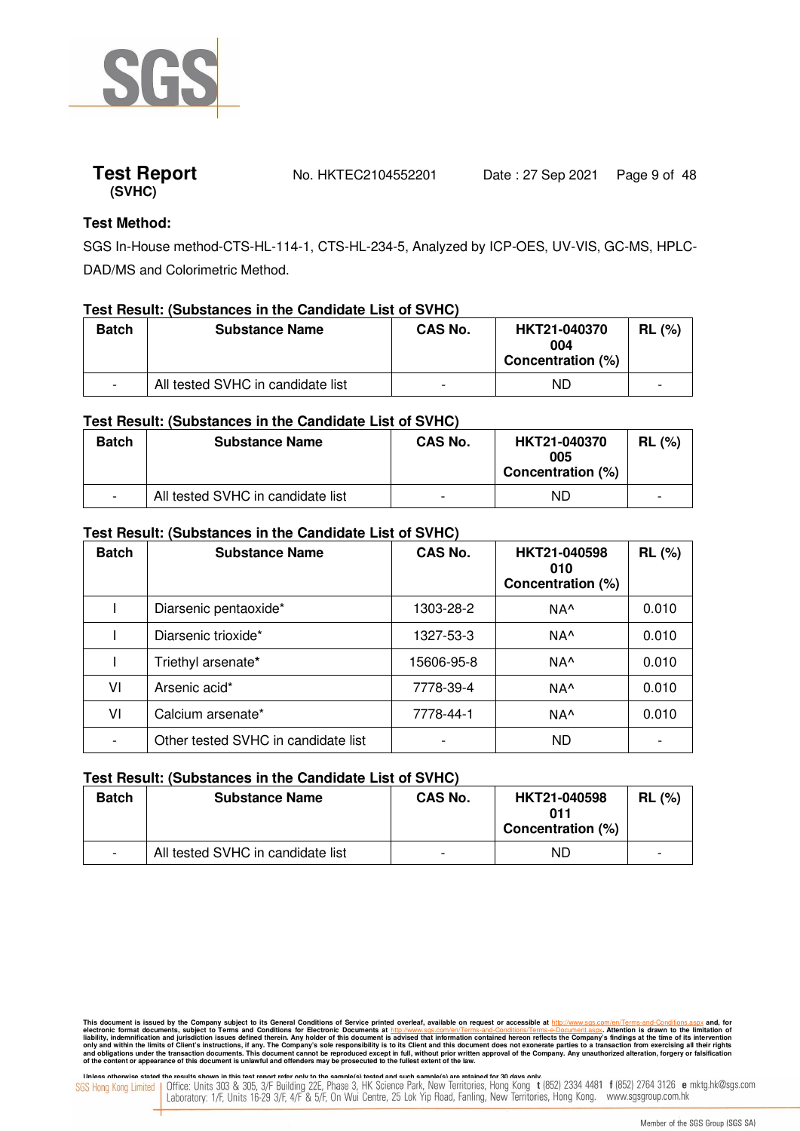

### **Test Method:**

SGS In-House method-CTS-HL-114-1, CTS-HL-234-5, Analyzed by ICP-OES, UV-VIS, GC-MS, HPLC-DAD/MS and Colorimetric Method.

### **Test Result: (Substances in the Candidate List of SVHC)**

| <b>Batch</b> | <b>Substance Name</b>             | <b>CAS No.</b> | HKT21-040370<br>004<br>Concentration (%) | $RL$ (%) |
|--------------|-----------------------------------|----------------|------------------------------------------|----------|
|              | All tested SVHC in candidate list |                | ND                                       | -        |

### **Test Result: (Substances in the Candidate List of SVHC)**

| <b>Batch</b> | <b>Substance Name</b>             | <b>CAS No.</b> | HKT21-040370<br>005<br>Concentration (%) | $RL$ (%)                 |
|--------------|-----------------------------------|----------------|------------------------------------------|--------------------------|
|              | All tested SVHC in candidate list | -              | ND                                       | $\overline{\phantom{0}}$ |

### **Test Result: (Substances in the Candidate List of SVHC)**

| <b>Batch</b> | <b>Substance Name</b>               | <b>CAS No.</b> | HKT21-040598<br>010<br>Concentration (%) | <b>RL (%)</b> |
|--------------|-------------------------------------|----------------|------------------------------------------|---------------|
|              | Diarsenic pentaoxide*               | 1303-28-2      | NA <sup>^</sup>                          | 0.010         |
|              | Diarsenic trioxide*                 | 1327-53-3      | NA <sup>^</sup>                          | 0.010         |
|              | Triethyl arsenate*                  | 15606-95-8     | NA <sup>^</sup>                          | 0.010         |
| VI           | Arsenic acid*                       | 7778-39-4      | NA <sup>^</sup>                          | 0.010         |
| V١           | Calcium arsenate*                   | 7778-44-1      | NA <sup>^</sup>                          | 0.010         |
|              | Other tested SVHC in candidate list |                | <b>ND</b>                                |               |

### **Test Result: (Substances in the Candidate List of SVHC)**

| <b>Batch</b>             | <b>Substance Name</b>             | <b>CAS No.</b>           | HKT21-040598<br>011<br>Concentration (%) | $RL$ (%) |
|--------------------------|-----------------------------------|--------------------------|------------------------------------------|----------|
| $\overline{\phantom{0}}$ | All tested SVHC in candidate list | $\overline{\phantom{0}}$ | ND                                       |          |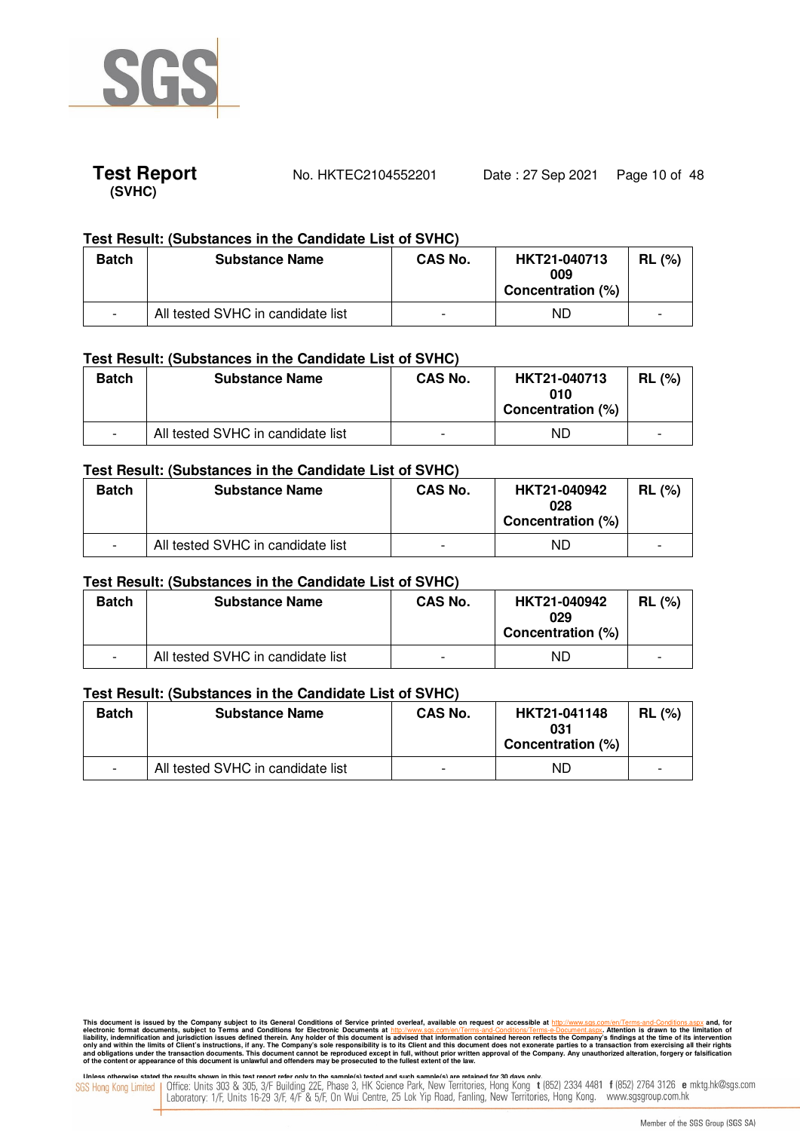



### **Test Result: (Substances in the Candidate List of SVHC)**

| <b>Batch</b> | <b>Substance Name</b>             | <b>CAS No.</b>           | HKT21-040713<br>009<br>Concentration (%) | <b>RL</b> (%) |
|--------------|-----------------------------------|--------------------------|------------------------------------------|---------------|
|              | All tested SVHC in candidate list | $\overline{\phantom{a}}$ | ND                                       | ۰             |

### **Test Result: (Substances in the Candidate List of SVHC)**

| <b>Batch</b> | <b>Substance Name</b>             | <b>CAS No.</b> | HKT21-040713<br>010<br>Concentration (%) | <b>RL</b> (%) |
|--------------|-----------------------------------|----------------|------------------------------------------|---------------|
|              | All tested SVHC in candidate list | -              | ND                                       |               |

### **Test Result: (Substances in the Candidate List of SVHC)**

| <b>Batch</b>             | <b>Substance Name</b>             | <b>CAS No.</b> | HKT21-040942<br>028<br>Concentration (%) | . (%)<br><b>RL</b> |
|--------------------------|-----------------------------------|----------------|------------------------------------------|--------------------|
| $\overline{\phantom{0}}$ | All tested SVHC in candidate list | -              | ND                                       |                    |

### **Test Result: (Substances in the Candidate List of SVHC)**

| <b>Batch</b> | <b>Substance Name</b>             | <b>CAS No.</b> | HKT21-040942<br>029<br>Concentration (%) | $RL$ (%) |
|--------------|-----------------------------------|----------------|------------------------------------------|----------|
|              | All tested SVHC in candidate list | -              | ND                                       |          |

### **Test Result: (Substances in the Candidate List of SVHC)**

| <b>Batch</b>             | <b>Substance Name</b>             | <b>CAS No.</b>           | HKT21-041148<br>031<br>Concentration (%) | RL(%) |
|--------------------------|-----------------------------------|--------------------------|------------------------------------------|-------|
| $\overline{\phantom{0}}$ | All tested SVHC in candidate list | $\overline{\phantom{0}}$ | ND                                       |       |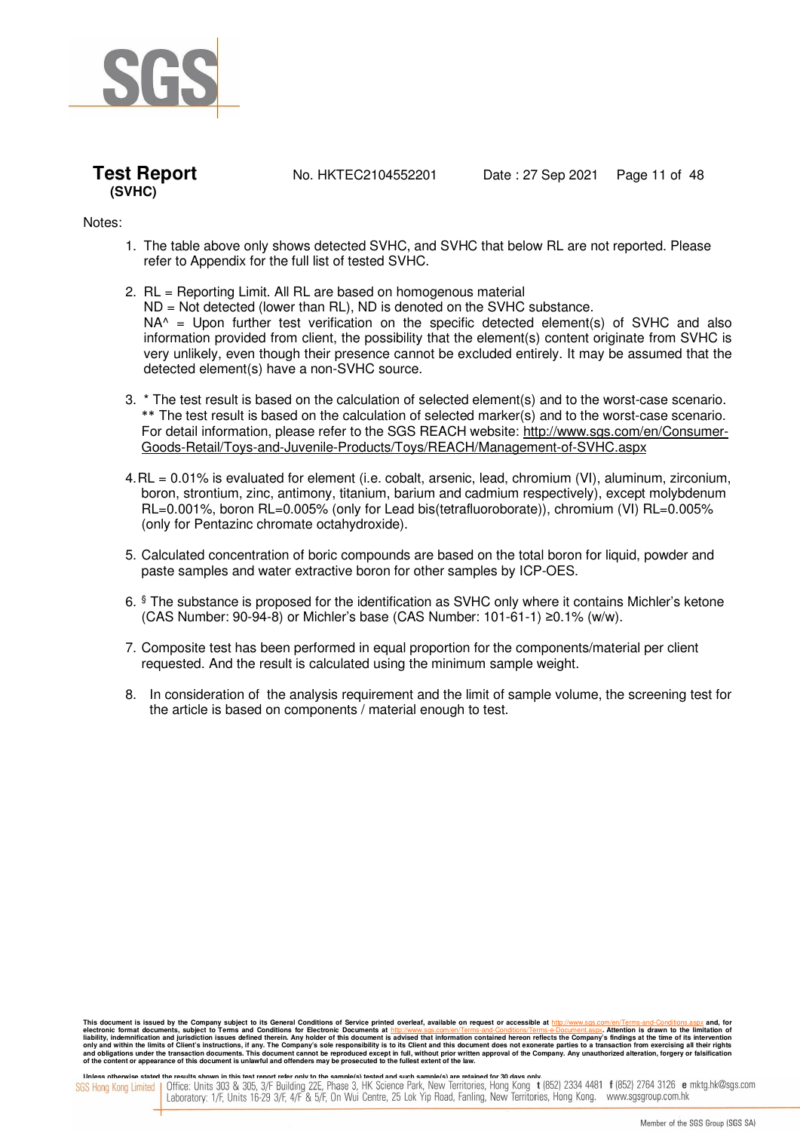



**Test Report** No. HKTEC2104552201 Date: 27 Sep 2021 Page 11 of 48

Notes:

- 1. The table above only shows detected SVHC, and SVHC that below RL are not reported. Please refer to Appendix for the full list of tested SVHC.
- 2. RL = Reporting Limit. All RL are based on homogenous material ND = Not detected (lower than RL), ND is denoted on the SVHC substance.  $NA<sup>^</sup> =$  Upon further test verification on the specific detected element(s) of SVHC and also information provided from client, the possibility that the element(s) content originate from SVHC is very unlikely, even though their presence cannot be excluded entirely. It may be assumed that the detected element(s) have a non-SVHC source.
- 3. \* The test result is based on the calculation of selected element(s) and to the worst-case scenario. \*\* The test result is based on the calculation of selected marker(s) and to the worst-case scenario. For detail information, please refer to the SGS REACH website: http://www.sgs.com/en/Consumer-Goods-Retail/Toys-and-Juvenile-Products/Toys/REACH/Management-of-SVHC.aspx
- 4. RL = 0.01% is evaluated for element (i.e. cobalt, arsenic, lead, chromium (VI), aluminum, zirconium, boron, strontium, zinc, antimony, titanium, barium and cadmium respectively), except molybdenum RL=0.001%, boron RL=0.005% (only for Lead bis(tetrafluoroborate)), chromium (VI) RL=0.005% (only for Pentazinc chromate octahydroxide).
- 5. Calculated concentration of boric compounds are based on the total boron for liquid, powder and paste samples and water extractive boron for other samples by ICP-OES.
- 6. § The substance is proposed for the identification as SVHC only where it contains Michler's ketone (CAS Number: 90-94-8) or Michler's base (CAS Number: 101-61-1) ≥0.1% (w/w).
- 7. Composite test has been performed in equal proportion for the components/material per client requested. And the result is calculated using the minimum sample weight.
- 8. In consideration of the analysis requirement and the limit of sample volume, the screening test for the article is based on components / material enough to test.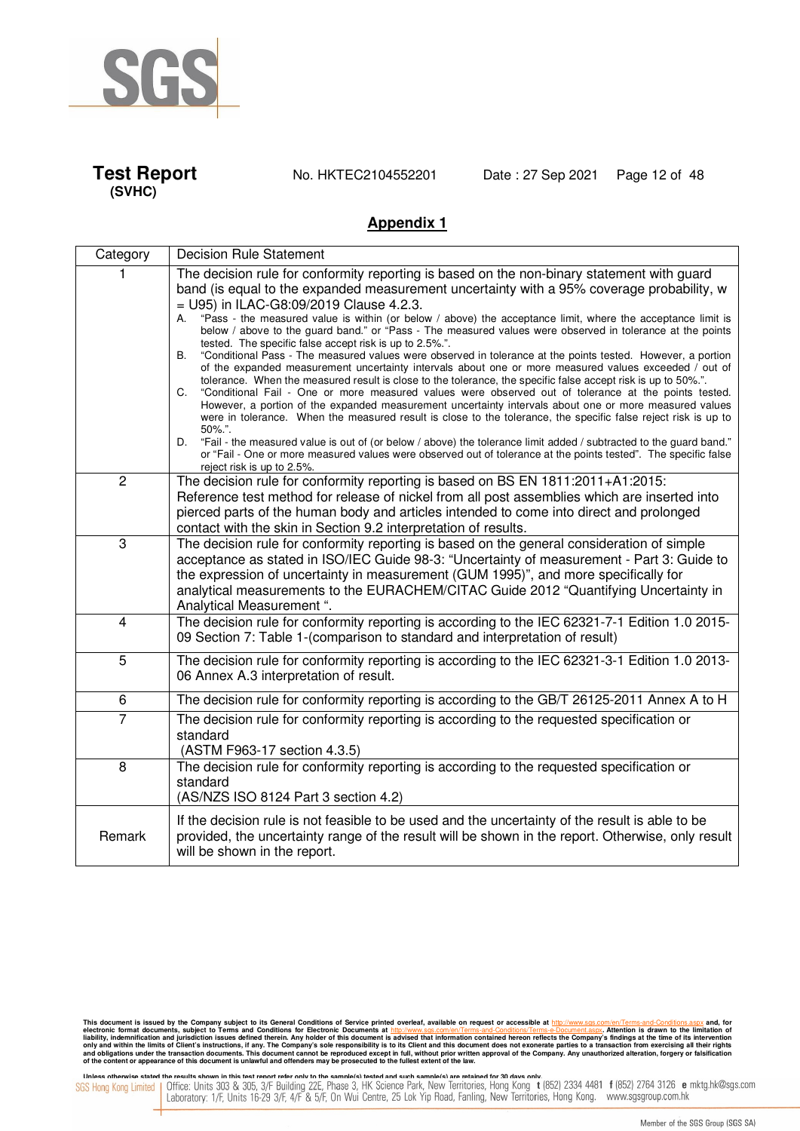

**Test Report** No. HKTEC2104552201 Date : 27 Sep 2021 Page 12 of 48

### **Appendix 1**

| Category                | <b>Decision Rule Statement</b>                                                                                                                                                                                                                                                                                                                                                                                                                                                                                                                                                                                                                                                                                                                                                                                                                                                                                                                                                                                                                                                                                                                                                                                                                                                                                                                                                                                                                                                                                        |
|-------------------------|-----------------------------------------------------------------------------------------------------------------------------------------------------------------------------------------------------------------------------------------------------------------------------------------------------------------------------------------------------------------------------------------------------------------------------------------------------------------------------------------------------------------------------------------------------------------------------------------------------------------------------------------------------------------------------------------------------------------------------------------------------------------------------------------------------------------------------------------------------------------------------------------------------------------------------------------------------------------------------------------------------------------------------------------------------------------------------------------------------------------------------------------------------------------------------------------------------------------------------------------------------------------------------------------------------------------------------------------------------------------------------------------------------------------------------------------------------------------------------------------------------------------------|
|                         | The decision rule for conformity reporting is based on the non-binary statement with guard<br>band (is equal to the expanded measurement uncertainty with a 95% coverage probability, w<br>$=$ U95) in ILAC-G8:09/2019 Clause 4.2.3.<br>"Pass - the measured value is within (or below / above) the acceptance limit, where the acceptance limit is<br>А.<br>below / above to the guard band." or "Pass - The measured values were observed in tolerance at the points<br>tested. The specific false accept risk is up to 2.5%.".<br>"Conditional Pass - The measured values were observed in tolerance at the points tested. However, a portion<br>В.<br>of the expanded measurement uncertainty intervals about one or more measured values exceeded / out of<br>tolerance. When the measured result is close to the tolerance, the specific false accept risk is up to 50%.".<br>"Conditional Fail - One or more measured values were observed out of tolerance at the points tested.<br>C.<br>However, a portion of the expanded measurement uncertainty intervals about one or more measured values<br>were in tolerance. When the measured result is close to the tolerance, the specific false reject risk is up to<br>$50\%$ .".<br>"Fail - the measured value is out of (or below / above) the tolerance limit added / subtracted to the guard band."<br>D.<br>or "Fail - One or more measured values were observed out of tolerance at the points tested". The specific false<br>reject risk is up to 2.5%. |
| $\overline{2}$          | The decision rule for conformity reporting is based on BS EN 1811:2011+A1:2015:<br>Reference test method for release of nickel from all post assemblies which are inserted into<br>pierced parts of the human body and articles intended to come into direct and prolonged<br>contact with the skin in Section 9.2 interpretation of results.                                                                                                                                                                                                                                                                                                                                                                                                                                                                                                                                                                                                                                                                                                                                                                                                                                                                                                                                                                                                                                                                                                                                                                         |
| 3                       | The decision rule for conformity reporting is based on the general consideration of simple<br>acceptance as stated in ISO/IEC Guide 98-3: "Uncertainty of measurement - Part 3: Guide to<br>the expression of uncertainty in measurement (GUM 1995)", and more specifically for<br>analytical measurements to the EURACHEM/CITAC Guide 2012 "Quantifying Uncertainty in<br>Analytical Measurement ".                                                                                                                                                                                                                                                                                                                                                                                                                                                                                                                                                                                                                                                                                                                                                                                                                                                                                                                                                                                                                                                                                                                  |
| $\overline{\mathbf{4}}$ | The decision rule for conformity reporting is according to the IEC 62321-7-1 Edition 1.0 2015-<br>09 Section 7: Table 1-(comparison to standard and interpretation of result)                                                                                                                                                                                                                                                                                                                                                                                                                                                                                                                                                                                                                                                                                                                                                                                                                                                                                                                                                                                                                                                                                                                                                                                                                                                                                                                                         |
| $\overline{5}$          | The decision rule for conformity reporting is according to the IEC 62321-3-1 Edition 1.0 2013-<br>06 Annex A.3 interpretation of result.                                                                                                                                                                                                                                                                                                                                                                                                                                                                                                                                                                                                                                                                                                                                                                                                                                                                                                                                                                                                                                                                                                                                                                                                                                                                                                                                                                              |
| 6                       | The decision rule for conformity reporting is according to the GB/T 26125-2011 Annex A to H                                                                                                                                                                                                                                                                                                                                                                                                                                                                                                                                                                                                                                                                                                                                                                                                                                                                                                                                                                                                                                                                                                                                                                                                                                                                                                                                                                                                                           |
| 7                       | The decision rule for conformity reporting is according to the requested specification or<br>standard<br>(ASTM F963-17 section 4.3.5)                                                                                                                                                                                                                                                                                                                                                                                                                                                                                                                                                                                                                                                                                                                                                                                                                                                                                                                                                                                                                                                                                                                                                                                                                                                                                                                                                                                 |
| 8                       | The decision rule for conformity reporting is according to the requested specification or<br>standard<br>(AS/NZS ISO 8124 Part 3 section 4.2)                                                                                                                                                                                                                                                                                                                                                                                                                                                                                                                                                                                                                                                                                                                                                                                                                                                                                                                                                                                                                                                                                                                                                                                                                                                                                                                                                                         |
| Remark                  | If the decision rule is not feasible to be used and the uncertainty of the result is able to be<br>provided, the uncertainty range of the result will be shown in the report. Otherwise, only result<br>will be shown in the report.                                                                                                                                                                                                                                                                                                                                                                                                                                                                                                                                                                                                                                                                                                                                                                                                                                                                                                                                                                                                                                                                                                                                                                                                                                                                                  |

This document is issued by the Company subject to its General Conditions of Service printed overleaf, available on request or accessible at http://www.sgs.com/en/Terms-and-Conditions.aspx and, for electronic formats and Co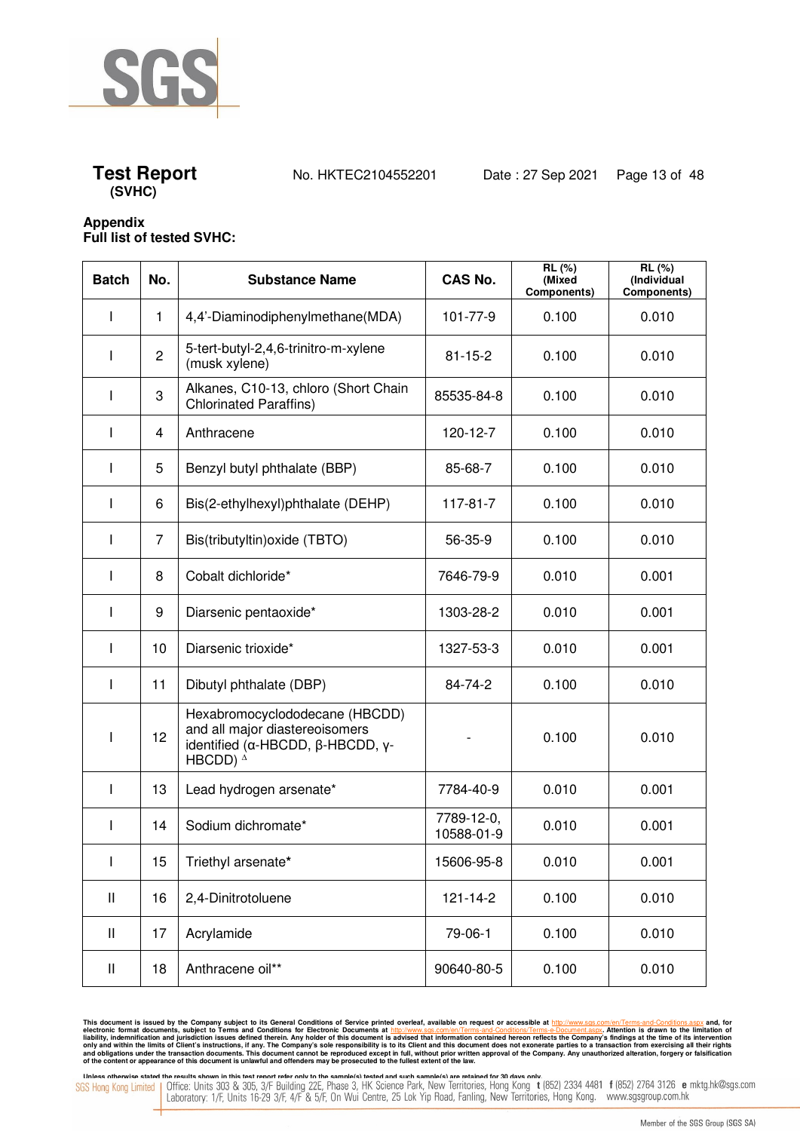



### **Appendix Full list of tested SVHC:**

| <b>Batch</b> | No.            | <b>Substance Name</b>                                                                                                      | <b>CAS No.</b>           | RL(%)<br>(Mixed<br>Components) | RL(%)<br>(Individual<br>Components) |
|--------------|----------------|----------------------------------------------------------------------------------------------------------------------------|--------------------------|--------------------------------|-------------------------------------|
| ı            | $\mathbf{1}$   | 4,4'-Diaminodiphenylmethane(MDA)                                                                                           | 101-77-9                 | 0.100                          | 0.010                               |
| I            | $\overline{c}$ | 5-tert-butyl-2,4,6-trinitro-m-xylene<br>(musk xylene)                                                                      | $81 - 15 - 2$            | 0.100                          | 0.010                               |
| I            | 3              | Alkanes, C10-13, chloro (Short Chain<br><b>Chlorinated Paraffins)</b>                                                      | 85535-84-8               | 0.100                          | 0.010                               |
|              | 4              | Anthracene                                                                                                                 | 120-12-7                 | 0.100                          | 0.010                               |
| I            | 5              | Benzyl butyl phthalate (BBP)                                                                                               | 85-68-7                  | 0.100                          | 0.010                               |
| ı            | 6              | Bis(2-ethylhexyl)phthalate (DEHP)                                                                                          | 117-81-7                 | 0.100                          | 0.010                               |
| ı            | 7              | Bis(tributyltin) oxide (TBTO)                                                                                              | 56-35-9                  | 0.100                          | 0.010                               |
|              | 8              | Cobalt dichloride*                                                                                                         | 7646-79-9                | 0.010                          | 0.001                               |
|              | 9              | Diarsenic pentaoxide*                                                                                                      | 1303-28-2                | 0.010                          | 0.001                               |
| ı            | 10             | Diarsenic trioxide*                                                                                                        | 1327-53-3                | 0.010                          | 0.001                               |
| I            | 11             | Dibutyl phthalate (DBP)                                                                                                    | 84-74-2                  | 0.100                          | 0.010                               |
|              | 12             | Hexabromocyclododecane (HBCDD)<br>and all major diastereoisomers<br>identified (α-HBCDD, β-HBCDD, γ-<br>HBCDD) $^{\Delta}$ |                          | 0.100                          | 0.010                               |
| I            | 13             | Lead hydrogen arsenate*                                                                                                    | 7784-40-9                | 0.010                          | 0.001                               |
| I            | 14             | Sodium dichromate*                                                                                                         | 7789-12-0,<br>10588-01-9 | 0.010                          | 0.001                               |
| I            | 15             | Triethyl arsenate*                                                                                                         | 15606-95-8               | 0.010                          | 0.001                               |
| Ш            | 16             | 2,4-Dinitrotoluene                                                                                                         | $121 - 14 - 2$           | 0.100                          | 0.010                               |
| Ш            | 17             | Acrylamide                                                                                                                 | 79-06-1                  | 0.100                          | 0.010                               |
| Ш            | 18             | Anthracene oil**                                                                                                           | 90640-80-5               | 0.100                          | 0.010                               |

This document is issued by the Company subject to its General Conditions of Service printed overleaf, available on request or accessible at http://www.sgs.com/en/Terms-and-Conditions.aspx and, for electronic formats and Co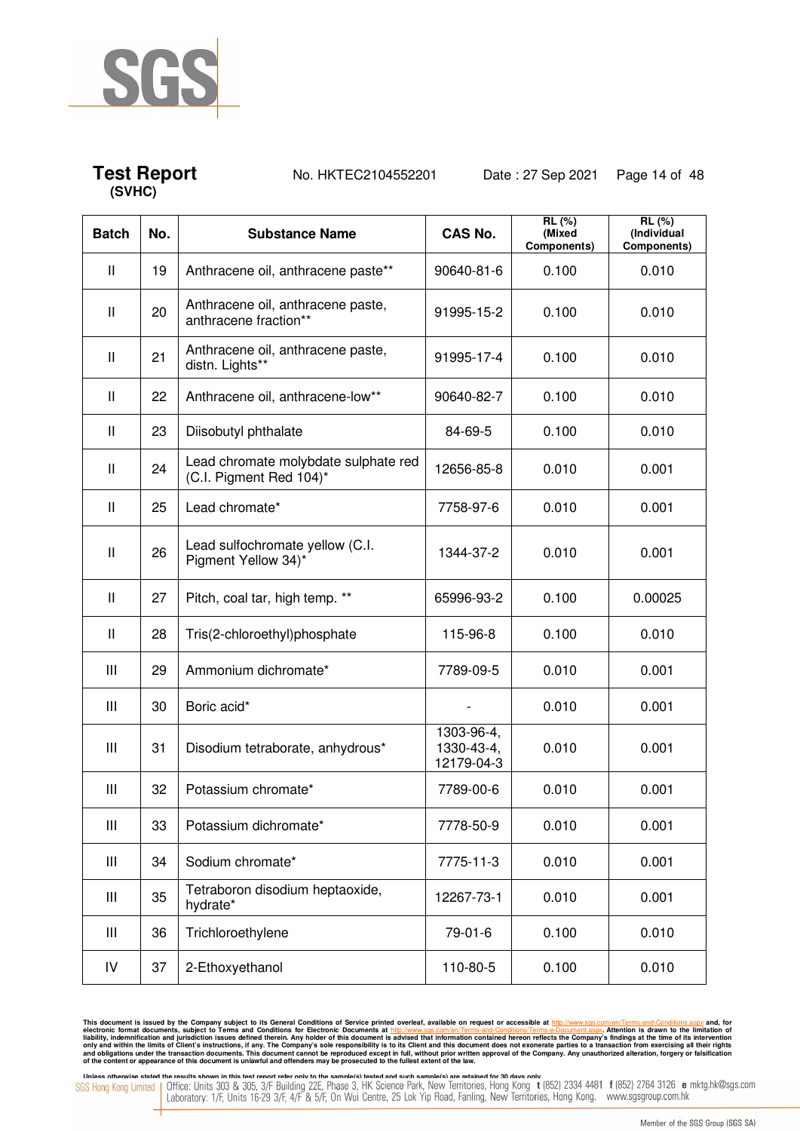

## **Test Report** No. HKTEC2104552201 Date : 27 Sep 2021 Page 14 of 48

| <b>Batch</b>  | No. | <b>Substance Name</b>                                           | <b>CAS No.</b>                         | RL (%)<br>(Mixed<br>Components) | RL (%)<br>(Individual<br>Components) |
|---------------|-----|-----------------------------------------------------------------|----------------------------------------|---------------------------------|--------------------------------------|
| $\mathbf{II}$ | 19  | Anthracene oil, anthracene paste**                              | 90640-81-6                             | 0.100                           | 0.010                                |
| Ш             | 20  | Anthracene oil, anthracene paste,<br>anthracene fraction**      | 91995-15-2                             | 0.100                           | 0.010                                |
| $\mathbf{II}$ | 21  | Anthracene oil, anthracene paste,<br>distn. Lights**            | 91995-17-4                             | 0.100                           | 0.010                                |
| Ш             | 22  | Anthracene oil, anthracene-low**                                | 90640-82-7                             | 0.100                           | 0.010                                |
| $\mathbf{I}$  | 23  | Diisobutyl phthalate                                            | 84-69-5                                | 0.100                           | 0.010                                |
| Ш             | 24  | Lead chromate molybdate sulphate red<br>(C.I. Pigment Red 104)* | 12656-85-8                             | 0.010                           | 0.001                                |
| Ш             | 25  | Lead chromate*                                                  | 7758-97-6                              | 0.010                           | 0.001                                |
| $\mathbf{II}$ | 26  | Lead sulfochromate yellow (C.I.<br>Pigment Yellow 34)*          | 1344-37-2                              | 0.010                           | 0.001                                |
| Ш             | 27  | Pitch, coal tar, high temp. **                                  | 65996-93-2                             | 0.100                           | 0.00025                              |
| $\mathbf{II}$ | 28  | Tris(2-chloroethyl)phosphate                                    | 115-96-8                               | 0.100                           | 0.010                                |
| Ш             | 29  | Ammonium dichromate*                                            | 7789-09-5                              | 0.010                           | 0.001                                |
| Ш             | 30  | Boric acid*                                                     |                                        | 0.010                           | 0.001                                |
| Ш             | 31  | Disodium tetraborate, anhydrous*                                | 1303-96-4,<br>1330-43-4,<br>12179-04-3 | 0.010                           | 0.001                                |
| Ш             | 32  | Potassium chromate*                                             | 7789-00-6                              | 0.010                           | 0.001                                |
| Ш             | 33  | Potassium dichromate*                                           | 7778-50-9                              | 0.010                           | 0.001                                |
| Ш             | 34  | Sodium chromate*                                                | 7775-11-3                              | 0.010                           | 0.001                                |
| Ш             | 35  | Tetraboron disodium heptaoxide,<br>hydrate*                     | 12267-73-1                             | 0.010                           | 0.001                                |
| Ш             | 36  | Trichloroethylene                                               | 79-01-6                                | 0.100                           | 0.010                                |
| IV            | 37  | 2-Ethoxyethanol                                                 | 110-80-5                               | 0.100                           | 0.010                                |

This document is issued by the Company subject to its General Conditions of Service printed overleaf, available on request or accessible at http://www.sgs.com/en/Terms-and-Conditions.aspx and, for electronic formats and Co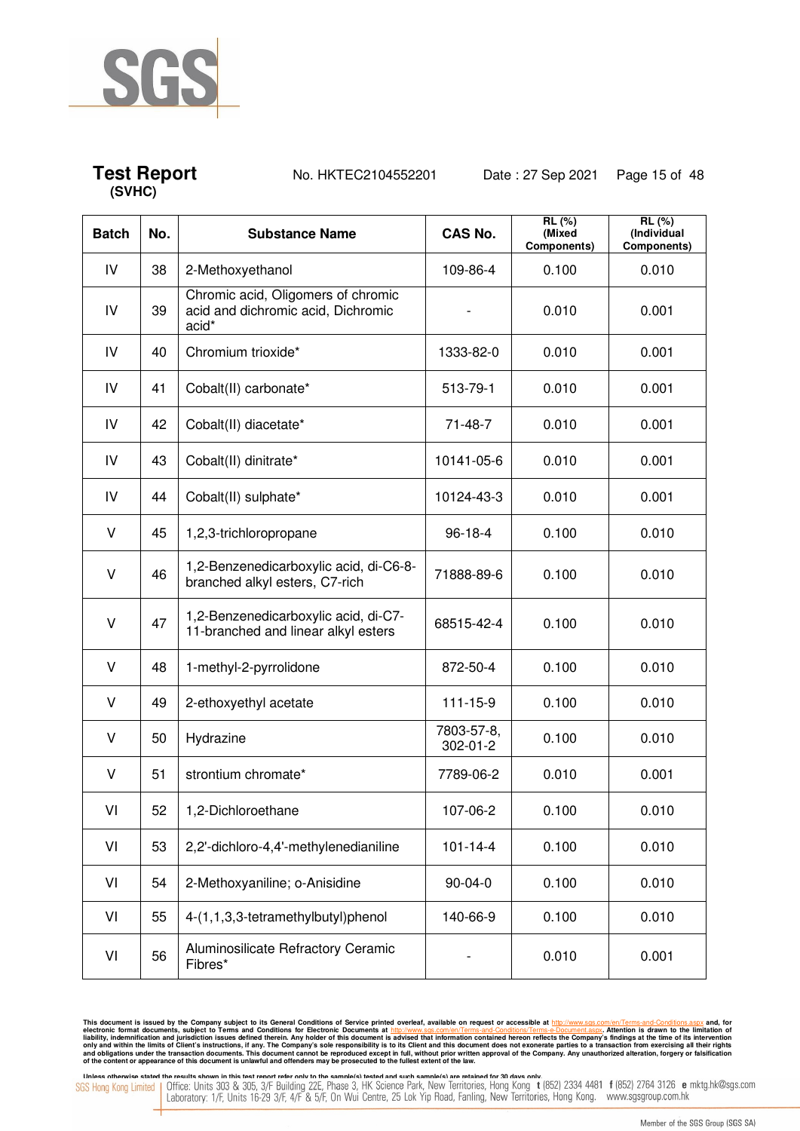

## **Test Report** No. HKTEC2104552201 Date : 27 Sep 2021 Page 15 of 48

| <b>Batch</b> | No. | <b>Substance Name</b>                                                             | <b>CAS No.</b>         | RL(%)<br>(Mixed<br>Components) | RL(%)<br>(Individual<br>Components) |
|--------------|-----|-----------------------------------------------------------------------------------|------------------------|--------------------------------|-------------------------------------|
| IV           | 38  | 2-Methoxyethanol                                                                  | 109-86-4               | 0.100                          | 0.010                               |
| ${\sf IV}$   | 39  | Chromic acid, Oligomers of chromic<br>acid and dichromic acid, Dichromic<br>acid* |                        | 0.010                          | 0.001                               |
| IV           | 40  | Chromium trioxide*                                                                | 1333-82-0              | 0.010                          | 0.001                               |
| IV           | 41  | Cobalt(II) carbonate*                                                             | 513-79-1               | 0.010                          | 0.001                               |
| IV           | 42  | Cobalt(II) diacetate*                                                             | $71 - 48 - 7$          | 0.010                          | 0.001                               |
| IV           | 43  | Cobalt(II) dinitrate*                                                             | 10141-05-6             | 0.010                          | 0.001                               |
| IV           | 44  | Cobalt(II) sulphate*                                                              | 10124-43-3             | 0.010                          | 0.001                               |
| V            | 45  | 1,2,3-trichloropropane                                                            | $96 - 18 - 4$          | 0.100                          | 0.010                               |
| V            | 46  | 1,2-Benzenedicarboxylic acid, di-C6-8-<br>branched alkyl esters, C7-rich          | 71888-89-6             | 0.100                          | 0.010                               |
| $\vee$       | 47  | 1,2-Benzenedicarboxylic acid, di-C7-<br>11-branched and linear alkyl esters       | 68515-42-4             | 0.100                          | 0.010                               |
| $\vee$       | 48  | 1-methyl-2-pyrrolidone                                                            | 872-50-4               | 0.100                          | 0.010                               |
| $\vee$       | 49  | 2-ethoxyethyl acetate                                                             | 111-15-9               | 0.100                          | 0.010                               |
| V            | 50  | Hydrazine                                                                         | 7803-57-8,<br>302-01-2 | 0.100                          | 0.010                               |
| V            | 51  | strontium chromate*                                                               | 7789-06-2              | 0.010                          | 0.001                               |
| VI           | 52  | 1,2-Dichloroethane                                                                | 107-06-2               | 0.100                          | 0.010                               |
| VI           | 53  | 2,2'-dichloro-4,4'-methylenedianiline                                             | $101 - 14 - 4$         | 0.100                          | 0.010                               |
| VI           | 54  | 2-Methoxyaniline; o-Anisidine                                                     | $90 - 04 - 0$          | 0.100                          | 0.010                               |
| VI           | 55  | 4-(1,1,3,3-tetramethylbutyl)phenol                                                | 140-66-9               | 0.100                          | 0.010                               |
| VI           | 56  | Aluminosilicate Refractory Ceramic<br>Fibres*                                     | -                      | 0.010                          | 0.001                               |

This document is issued by the Company subject to its General Conditions of Service printed overleaf, available on request or accessible at http://www.sgs.com/en/Terms-and-Conditions.aspx and, for electronic formats and Co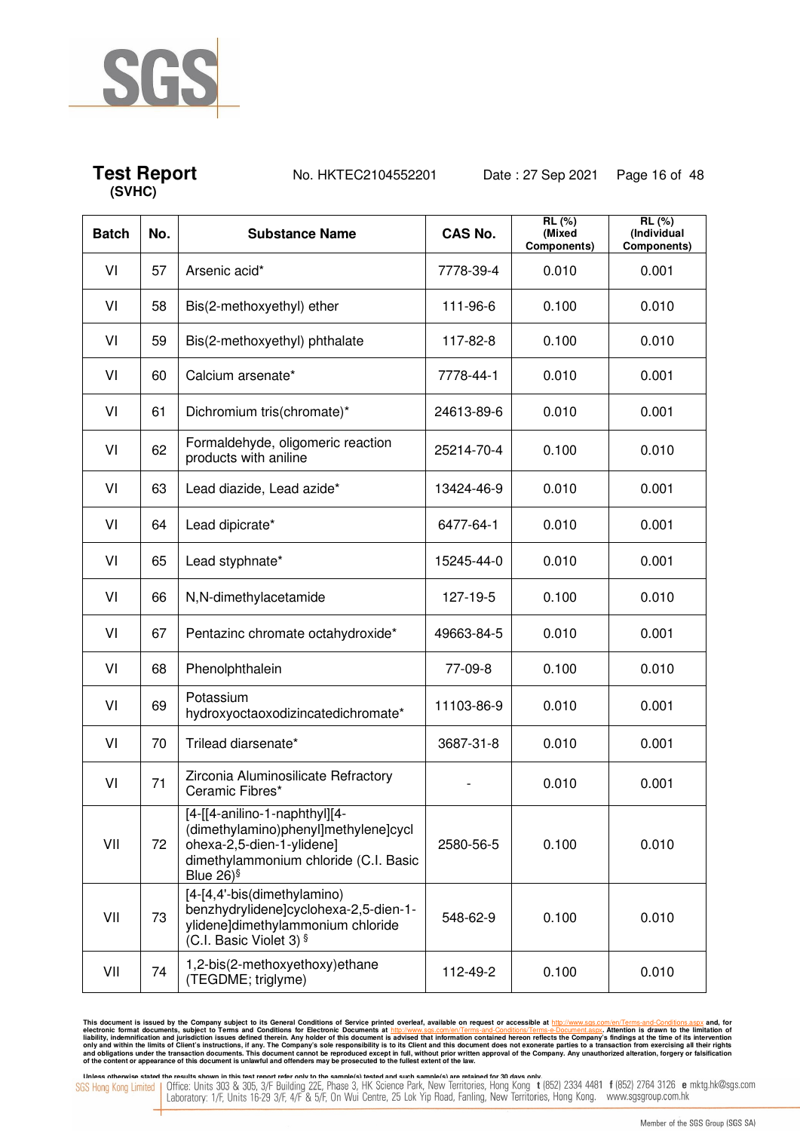

## **Test Report** No. HKTEC2104552201 Date : 27 Sep 2021 Page 16 of 48

| <b>Batch</b> | No. | <b>Substance Name</b>                                                                                                                                    | <b>CAS No.</b> | RL(%)<br>(Mixed<br>Components) | $RL(\%)$<br>(Individual<br>Components) |
|--------------|-----|----------------------------------------------------------------------------------------------------------------------------------------------------------|----------------|--------------------------------|----------------------------------------|
| VI           | 57  | Arsenic acid*                                                                                                                                            | 7778-39-4      | 0.010                          | 0.001                                  |
| VI           | 58  | Bis(2-methoxyethyl) ether                                                                                                                                | 111-96-6       | 0.100                          | 0.010                                  |
| VI           | 59  | Bis(2-methoxyethyl) phthalate                                                                                                                            | 117-82-8       | 0.100                          | 0.010                                  |
| VI           | 60  | Calcium arsenate*                                                                                                                                        | 7778-44-1      | 0.010                          | 0.001                                  |
| VI           | 61  | Dichromium tris(chromate)*                                                                                                                               | 24613-89-6     | 0.010                          | 0.001                                  |
| VI           | 62  | Formaldehyde, oligomeric reaction<br>products with aniline                                                                                               | 25214-70-4     | 0.100                          | 0.010                                  |
| VI           | 63  | Lead diazide, Lead azide*                                                                                                                                | 13424-46-9     | 0.010                          | 0.001                                  |
| VI           | 64  | Lead dipicrate*                                                                                                                                          | 6477-64-1      | 0.010                          | 0.001                                  |
| VI           | 65  | Lead styphnate*                                                                                                                                          | 15245-44-0     | 0.010                          | 0.001                                  |
| VI           | 66  | N, N-dimethylacetamide                                                                                                                                   | 127-19-5       | 0.100                          | 0.010                                  |
| VI           | 67  | Pentazinc chromate octahydroxide*                                                                                                                        | 49663-84-5     | 0.010                          | 0.001                                  |
| VI           | 68  | Phenolphthalein                                                                                                                                          | 77-09-8        | 0.100                          | 0.010                                  |
| VI           | 69  | Potassium<br>hydroxyoctaoxodizincatedichromate*                                                                                                          | 11103-86-9     | 0.010                          | 0.001                                  |
| VI           | 70  | Trilead diarsenate*                                                                                                                                      | 3687-31-8      | 0.010                          | 0.001                                  |
| VI           | 71  | Zirconia Aluminosilicate Refractory<br>Ceramic Fibres*                                                                                                   |                | 0.010                          | 0.001                                  |
| VII          | 72  | [4-[[4-anilino-1-naphthyl][4-<br>(dimethylamino)phenyl]methylene]cycl<br>ohexa-2,5-dien-1-ylidene]<br>dimethylammonium chloride (C.I. Basic<br>Blue 26)§ | 2580-56-5      | 0.100                          | 0.010                                  |
| VII          | 73  | [4-[4,4'-bis(dimethylamino)<br>benzhydrylidene]cyclohexa-2,5-dien-1-<br>ylidene]dimethylammonium chloride<br>(C.I. Basic Violet 3) $\frac{1}{5}$         | 548-62-9       | 0.100                          | 0.010                                  |
| VII          | 74  | 1,2-bis(2-methoxyethoxy)ethane<br>(TEGDME; triglyme)                                                                                                     | 112-49-2       | 0.100                          | 0.010                                  |

This document is issued by the Company subject to its General Conditions of Service printed overleaf, available on request or accessible at http://www.sgs.com/en/Terms-and-Conditions.aspx and, for electronic formats and Co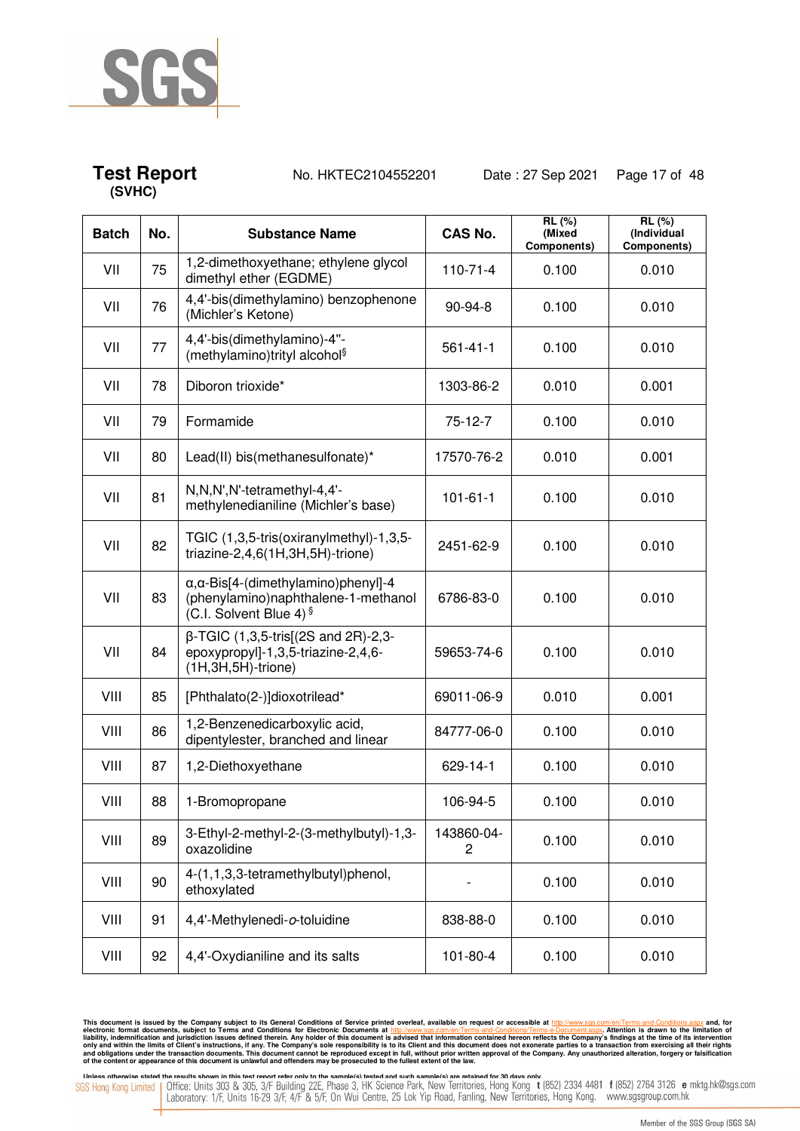

## **Test Report** No. HKTEC2104552201 Date : 27 Sep 2021 Page 17 of 48

| <b>Batch</b> | No. | <b>Substance Name</b>                                                                                                 | <b>CAS No.</b>  | RL (%)<br>(Mixed<br>Components) | RL (%)<br>(Individual<br>Components) |
|--------------|-----|-----------------------------------------------------------------------------------------------------------------------|-----------------|---------------------------------|--------------------------------------|
| VII          | 75  | 1,2-dimethoxyethane; ethylene glycol<br>dimethyl ether (EGDME)                                                        | $110 - 71 - 4$  | 0.100                           | 0.010                                |
| VII          | 76  | 4,4'-bis(dimethylamino) benzophenone<br>(Michler's Ketone)                                                            | $90-94-8$       | 0.100                           | 0.010                                |
| VII          | 77  | 4,4'-bis(dimethylamino)-4"-<br>(methylamino)trityl alcohol <sup>§</sup>                                               | $561 - 41 - 1$  | 0.100                           | 0.010                                |
| VII          | 78  | Diboron trioxide*                                                                                                     | 1303-86-2       | 0.010                           | 0.001                                |
| VII          | 79  | Formamide                                                                                                             | $75-12-7$       | 0.100                           | 0.010                                |
| VII          | 80  | Lead(II) bis(methanesulfonate)*                                                                                       | 17570-76-2      | 0.010                           | 0.001                                |
| VII          | 81  | N, N, N', N'-tetramethyl-4, 4'-<br>methylenedianiline (Michler's base)                                                | $101 - 61 - 1$  | 0.100                           | 0.010                                |
| VII          | 82  | TGIC (1,3,5-tris(oxiranylmethyl)-1,3,5-<br>triazine-2,4,6(1H,3H,5H)-trione)                                           | 2451-62-9       | 0.100                           | 0.010                                |
| VII          | 83  | $\alpha$ , $\alpha$ -Bis[4-(dimethylamino)phenyl]-4<br>(phenylamino)naphthalene-1-methanol<br>(C.I. Solvent Blue 4) § | 6786-83-0       | 0.100                           | 0.010                                |
| VII          | 84  | $\beta$ -TGIC (1,3,5-tris[(2S and 2R)-2,3-<br>epoxypropyl]-1,3,5-triazine-2,4,6-<br>(1H,3H,5H)-trione)                | 59653-74-6      | 0.100                           | 0.010                                |
| VIII         | 85  | [Phthalato(2-)]dioxotrilead*                                                                                          | 69011-06-9      | 0.010                           | 0.001                                |
| VIII         | 86  | 1,2-Benzenedicarboxylic acid,<br>dipentylester, branched and linear                                                   | 84777-06-0      | 0.100                           | 0.010                                |
| VIII         | 87  | 1,2-Diethoxyethane                                                                                                    | 629-14-1        | 0.100                           | 0.010                                |
| VIII         | 88  | 1-Bromopropane                                                                                                        | 106-94-5        | 0.100                           | 0.010                                |
| VIII         | 89  | 3-Ethyl-2-methyl-2-(3-methylbutyl)-1,3-<br>oxazolidine                                                                | 143860-04-<br>2 | 0.100                           | 0.010                                |
| VIII         | 90  | 4-(1,1,3,3-tetramethylbutyl)phenol,<br>ethoxylated                                                                    |                 | 0.100                           | 0.010                                |
| VIII         | 91  | 4,4'-Methylenedi-o-toluidine                                                                                          | 838-88-0        | 0.100                           | 0.010                                |
| VIII         | 92  | 4,4'-Oxydianiline and its salts                                                                                       | 101-80-4        | 0.100                           | 0.010                                |

This document is issued by the Company subject to its General Conditions of Service printed overleaf, available on request or accessible at http://www.sgs.com/en/Terms-and-Conditions.aspx and, for electronic formats and Co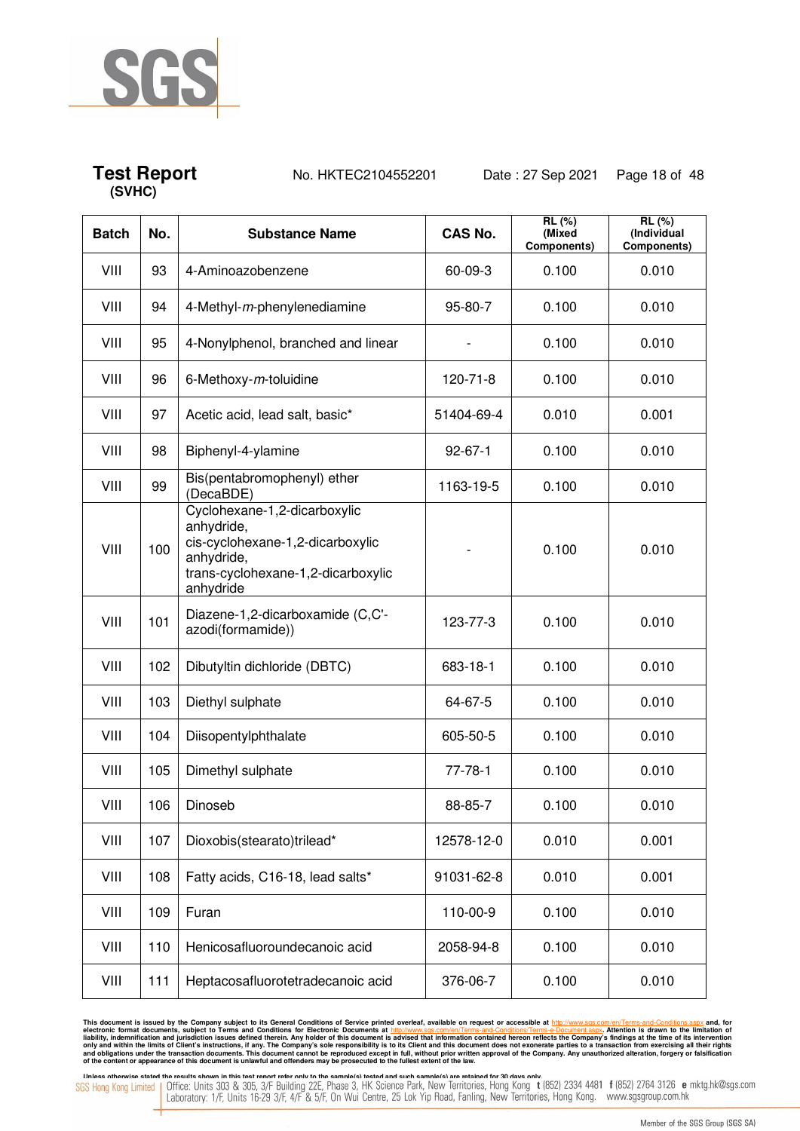

## **Test Report** No. HKTEC2104552201 Date : 27 Sep 2021 Page 18 of 48

| <b>Batch</b> | No. | <b>Substance Name</b>                                                                                                                           | <b>CAS No.</b> | RL (%)<br>(Mixed<br>Components) | RL (%)<br>(Individual<br>Components) |
|--------------|-----|-------------------------------------------------------------------------------------------------------------------------------------------------|----------------|---------------------------------|--------------------------------------|
| VIII         | 93  | 4-Aminoazobenzene                                                                                                                               | 60-09-3        | 0.100                           | 0.010                                |
| VIII         | 94  | 4-Methyl-m-phenylenediamine                                                                                                                     | 95-80-7        | 0.100                           | 0.010                                |
| VIII         | 95  | 4-Nonylphenol, branched and linear                                                                                                              |                | 0.100                           | 0.010                                |
| VIII         | 96  | 6-Methoxy-m-toluidine                                                                                                                           | 120-71-8       | 0.100                           | 0.010                                |
| VIII         | 97  | Acetic acid, lead salt, basic*                                                                                                                  | 51404-69-4     | 0.010                           | 0.001                                |
| VIII         | 98  | Biphenyl-4-ylamine                                                                                                                              | $92 - 67 - 1$  | 0.100                           | 0.010                                |
| VIII         | 99  | Bis(pentabromophenyl) ether<br>(DecaBDE)                                                                                                        | 1163-19-5      | 0.100                           | 0.010                                |
| VIII         | 100 | Cyclohexane-1,2-dicarboxylic<br>anhydride,<br>cis-cyclohexane-1,2-dicarboxylic<br>anhydride,<br>trans-cyclohexane-1,2-dicarboxylic<br>anhydride |                | 0.100                           | 0.010                                |
| VIII         | 101 | Diazene-1,2-dicarboxamide (C,C'-<br>azodi(formamide))                                                                                           | 123-77-3       | 0.100                           | 0.010                                |
| VIII         | 102 | Dibutyltin dichloride (DBTC)                                                                                                                    | 683-18-1       | 0.100                           | 0.010                                |
| VIII         | 103 | Diethyl sulphate                                                                                                                                | 64-67-5        | 0.100                           | 0.010                                |
| VIII         | 104 | Diisopentylphthalate                                                                                                                            | 605-50-5       | 0.100                           | 0.010                                |
| VIII         | 105 | Dimethyl sulphate                                                                                                                               | 77-78-1        | 0.100                           | 0.010                                |
| VIII         | 106 | Dinoseb                                                                                                                                         | 88-85-7        | 0.100                           | 0.010                                |
| VIII         | 107 | Dioxobis(stearato)trilead*                                                                                                                      | 12578-12-0     | 0.010                           | 0.001                                |
| VIII         | 108 | Fatty acids, C16-18, lead salts*                                                                                                                | 91031-62-8     | 0.010                           | 0.001                                |
| VIII         | 109 | Furan                                                                                                                                           | 110-00-9       | 0.100                           | 0.010                                |
| VIII         | 110 | Henicosafluoroundecanoic acid                                                                                                                   | 2058-94-8      | 0.100                           | 0.010                                |
| VIII         | 111 | Heptacosafluorotetradecanoic acid                                                                                                               | 376-06-7       | 0.100                           | 0.010                                |

This document is issued by the Company subject to its General Conditions of Service printed overleaf, available on request or accessible at http://www.sgs.com/en/Terms-and-Conditions.aspx and, for electronic formats and Co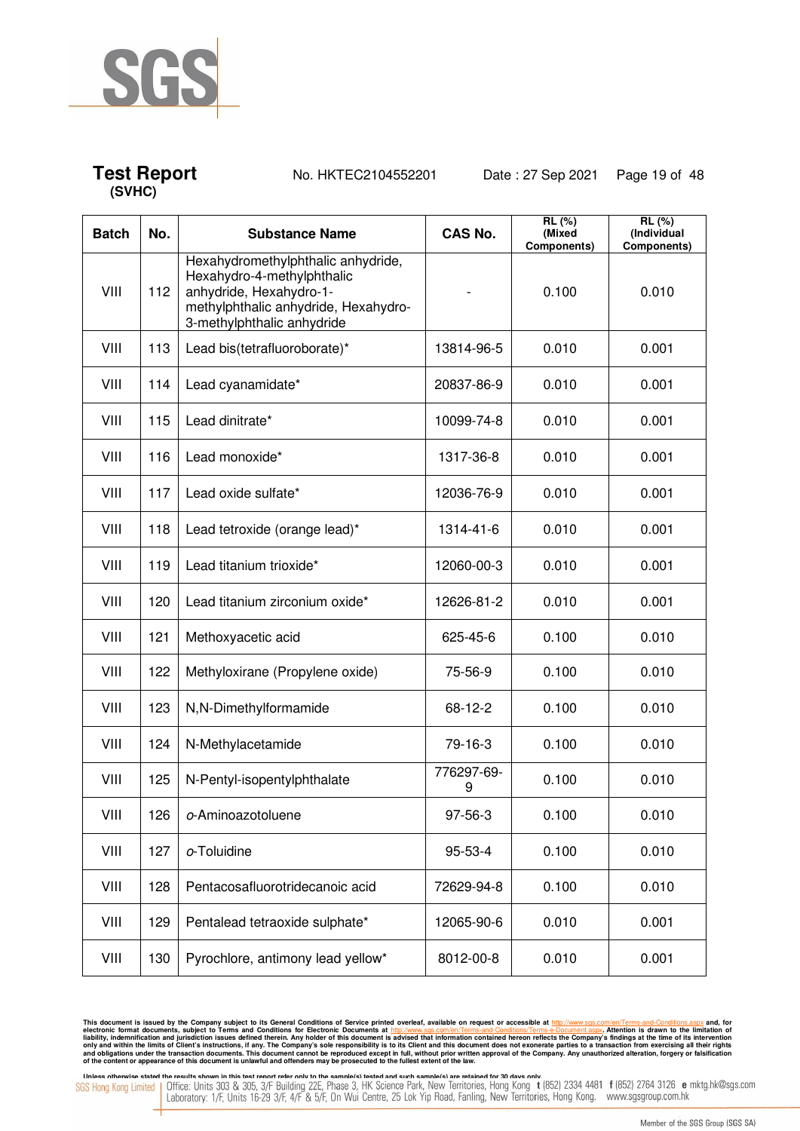

## **Test Report** No. HKTEC2104552201 Date : 27 Sep 2021 Page 19 of 48

| <b>Batch</b> | No. | <b>Substance Name</b>                                                                                                                                             | <b>CAS No.</b>  | RL(%)<br>(Mixed<br>Components) | RL(%)<br>(Individual<br>Components) |
|--------------|-----|-------------------------------------------------------------------------------------------------------------------------------------------------------------------|-----------------|--------------------------------|-------------------------------------|
| VIII         | 112 | Hexahydromethylphthalic anhydride,<br>Hexahydro-4-methylphthalic<br>anhydride, Hexahydro-1-<br>methylphthalic anhydride, Hexahydro-<br>3-methylphthalic anhydride |                 | 0.100                          | 0.010                               |
| VIII         | 113 | Lead bis(tetrafluoroborate)*                                                                                                                                      | 13814-96-5      | 0.010                          | 0.001                               |
| VIII         | 114 | Lead cyanamidate*                                                                                                                                                 | 20837-86-9      | 0.010                          | 0.001                               |
| VIII         | 115 | Lead dinitrate*                                                                                                                                                   | 10099-74-8      | 0.010                          | 0.001                               |
| VIII         | 116 | Lead monoxide*                                                                                                                                                    | 1317-36-8       | 0.010                          | 0.001                               |
| VIII         | 117 | Lead oxide sulfate*                                                                                                                                               | 12036-76-9      | 0.010                          | 0.001                               |
| VIII         | 118 | Lead tetroxide (orange lead)*                                                                                                                                     | 1314-41-6       | 0.010                          | 0.001                               |
| VIII         | 119 | Lead titanium trioxide*                                                                                                                                           | 12060-00-3      | 0.010                          | 0.001                               |
| VIII         | 120 | Lead titanium zirconium oxide*                                                                                                                                    | 12626-81-2      | 0.010                          | 0.001                               |
| VIII         | 121 | Methoxyacetic acid                                                                                                                                                | 625-45-6        | 0.100                          | 0.010                               |
| VIII         | 122 | Methyloxirane (Propylene oxide)                                                                                                                                   | 75-56-9         | 0.100                          | 0.010                               |
| VIII         | 123 | N,N-Dimethylformamide                                                                                                                                             | 68-12-2         | 0.100                          | 0.010                               |
| VIII         | 124 | N-Methylacetamide                                                                                                                                                 | 79-16-3         | 0.100                          | 0.010                               |
| VIII         | 125 | N-Pentyl-isopentylphthalate                                                                                                                                       | 776297-69-<br>9 | 0.100                          | 0.010                               |
| VIII         | 126 | o-Aminoazotoluene                                                                                                                                                 | 97-56-3         | 0.100                          | 0.010                               |
| VIII         | 127 | o-Toluidine                                                                                                                                                       | 95-53-4         | 0.100                          | 0.010                               |
| VIII         | 128 | Pentacosafluorotridecanoic acid                                                                                                                                   | 72629-94-8      | 0.100                          | 0.010                               |
| VIII         | 129 | Pentalead tetraoxide sulphate*                                                                                                                                    | 12065-90-6      | 0.010                          | 0.001                               |
| VIII         | 130 | Pyrochlore, antimony lead yellow*                                                                                                                                 | 8012-00-8       | 0.010                          | 0.001                               |

This document is issued by the Company subject to its General Conditions of Service printed overleaf, available on request or accessible at http://www.sgs.com/en/Terms-and-Conditions.aspx and, for electronic formats and Co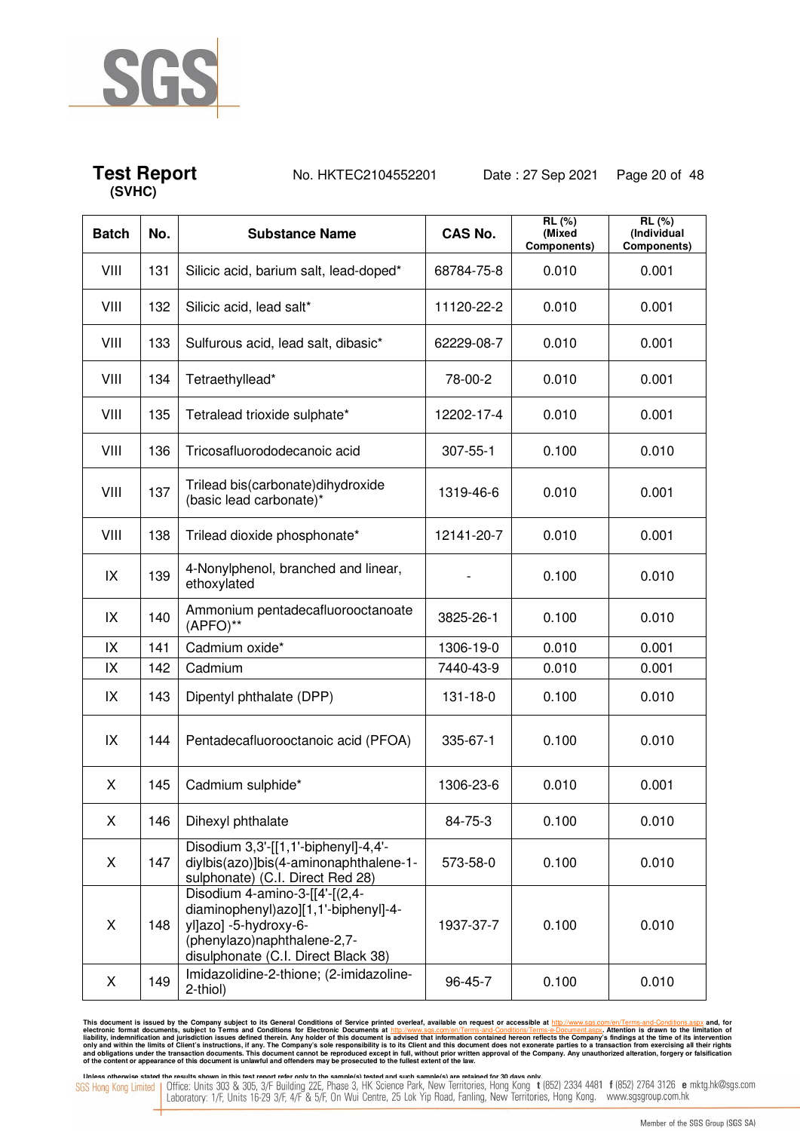

## **Test Report** No. HKTEC2104552201 Date : 27 Sep 2021 Page 20 of 48

| <b>Batch</b> | No. | <b>Substance Name</b>                                                                                                                                                 | <b>CAS No.</b> | RL (%)<br>(Mixed<br>Components) | RL (%)<br>(Individual<br>Components) |
|--------------|-----|-----------------------------------------------------------------------------------------------------------------------------------------------------------------------|----------------|---------------------------------|--------------------------------------|
| VIII         | 131 | Silicic acid, barium salt, lead-doped*                                                                                                                                | 68784-75-8     | 0.010                           | 0.001                                |
| VIII         | 132 | Silicic acid, lead salt*                                                                                                                                              | 11120-22-2     | 0.010                           | 0.001                                |
| VIII         | 133 | Sulfurous acid, lead salt, dibasic*                                                                                                                                   | 62229-08-7     | 0.010                           | 0.001                                |
| VIII         | 134 | Tetraethyllead*                                                                                                                                                       | 78-00-2        | 0.010                           | 0.001                                |
| VIII         | 135 | Tetralead trioxide sulphate*                                                                                                                                          | 12202-17-4     | 0.010                           | 0.001                                |
| VIII         | 136 | Tricosafluorododecanoic acid                                                                                                                                          | 307-55-1       | 0.100                           | 0.010                                |
| VIII         | 137 | Trilead bis(carbonate) dihydroxide<br>(basic lead carbonate)*                                                                                                         | 1319-46-6      | 0.010                           | 0.001                                |
| VIII         | 138 | Trilead dioxide phosphonate*                                                                                                                                          | 12141-20-7     | 0.010                           | 0.001                                |
| IX           | 139 | 4-Nonylphenol, branched and linear,<br>ethoxylated                                                                                                                    |                | 0.100                           | 0.010                                |
| IX           | 140 | Ammonium pentadecafluorooctanoate<br>(APFO)**                                                                                                                         | 3825-26-1      | 0.100                           | 0.010                                |
| IX           | 141 | Cadmium oxide*                                                                                                                                                        | 1306-19-0      | 0.010                           | 0.001                                |
| IX           | 142 | Cadmium                                                                                                                                                               | 7440-43-9      | 0.010                           | 0.001                                |
| IX           | 143 | Dipentyl phthalate (DPP)                                                                                                                                              | 131-18-0       | 0.100                           | 0.010                                |
| IX           | 144 | Pentadecafluorooctanoic acid (PFOA)                                                                                                                                   | 335-67-1       | 0.100                           | 0.010                                |
| X            | 145 | Cadmium sulphide*                                                                                                                                                     | 1306-23-6      | 0.010                           | 0.001                                |
| X            | 146 | Dihexyl phthalate                                                                                                                                                     | 84-75-3        | 0.100                           | 0.010                                |
| X            | 147 | Disodium 3,3'-[[1,1'-biphenyl]-4,4'-<br>diylbis(azo)]bis(4-aminonaphthalene-1-<br>sulphonate) (C.I. Direct Red 28)                                                    | 573-58-0       | 0.100                           | 0.010                                |
| X            | 148 | Disodium 4-amino-3-[[4'-[(2,4-<br>diaminophenyl)azo][1,1'-biphenyl]-4-<br>yl]azo] -5-hydroxy-6-<br>(phenylazo)naphthalene-2,7-<br>disulphonate (C.I. Direct Black 38) | 1937-37-7      | 0.100                           | 0.010                                |
| X            | 149 | Imidazolidine-2-thione; (2-imidazoline-<br>2-thiol)                                                                                                                   | 96-45-7        | 0.100                           | 0.010                                |

This document is issued by the Company subject to its General Conditions of Service printed overleaf, available on request or accessible at http://www.sgs.com/en/Terms-and-Conditions.aspx and, for electronic formats and Co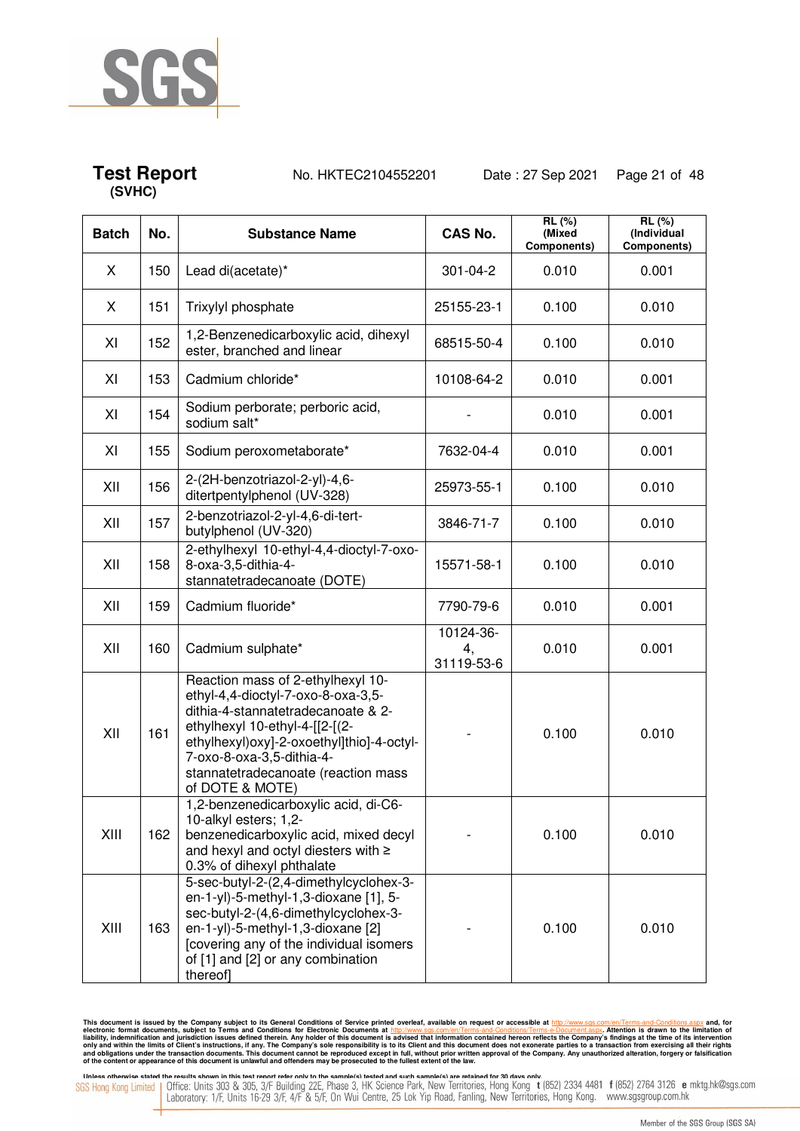

**Test Report** No. HKTEC2104552201 Date : 27 Sep 2021 Page 21 of 48

| <b>Batch</b> | No. | <b>Substance Name</b>                                                                                                                                                                                                                                                                | <b>CAS No.</b>                | <b>RL</b> (%)<br>(Mixed<br>Components) | <b>RL</b> (%)<br>(Individual<br>Components) |
|--------------|-----|--------------------------------------------------------------------------------------------------------------------------------------------------------------------------------------------------------------------------------------------------------------------------------------|-------------------------------|----------------------------------------|---------------------------------------------|
| X            | 150 | Lead di(acetate)*                                                                                                                                                                                                                                                                    | 301-04-2                      | 0.010                                  | 0.001                                       |
| X            | 151 | Trixylyl phosphate                                                                                                                                                                                                                                                                   | 25155-23-1                    | 0.100                                  | 0.010                                       |
| XI           | 152 | 1,2-Benzenedicarboxylic acid, dihexyl<br>ester, branched and linear                                                                                                                                                                                                                  | 68515-50-4                    | 0.100                                  | 0.010                                       |
| XI           | 153 | Cadmium chloride*                                                                                                                                                                                                                                                                    | 10108-64-2                    | 0.010                                  | 0.001                                       |
| XI           | 154 | Sodium perborate; perboric acid,<br>sodium salt*                                                                                                                                                                                                                                     |                               | 0.010                                  | 0.001                                       |
| XI           | 155 | Sodium peroxometaborate*                                                                                                                                                                                                                                                             | 7632-04-4                     | 0.010                                  | 0.001                                       |
| XII          | 156 | 2-(2H-benzotriazol-2-yl)-4,6-<br>ditertpentylphenol (UV-328)                                                                                                                                                                                                                         | 25973-55-1                    | 0.100                                  | 0.010                                       |
| XII          | 157 | 2-benzotriazol-2-yl-4,6-di-tert-<br>butylphenol (UV-320)                                                                                                                                                                                                                             | 3846-71-7                     | 0.100                                  | 0.010                                       |
| XII          | 158 | 2-ethylhexyl 10-ethyl-4,4-dioctyl-7-oxo-<br>8-oxa-3,5-dithia-4-<br>stannatetradecanoate (DOTE)                                                                                                                                                                                       | 15571-58-1                    | 0.100                                  | 0.010                                       |
| XII          | 159 | Cadmium fluoride*                                                                                                                                                                                                                                                                    | 7790-79-6                     | 0.010                                  | 0.001                                       |
| XII          | 160 | Cadmium sulphate*                                                                                                                                                                                                                                                                    | 10124-36-<br>4,<br>31119-53-6 | 0.010                                  | 0.001                                       |
| XII          | 161 | Reaction mass of 2-ethylhexyl 10-<br>ethyl-4,4-dioctyl-7-oxo-8-oxa-3,5-<br>dithia-4-stannatetradecanoate & 2-<br>ethylhexyl 10-ethyl-4-[[2-[(2-<br>ethylhexyl) oxy]-2-oxoethyl]thio]-4-octyl-<br>7-oxo-8-oxa-3,5-dithia-4-<br>stannatetradecanoate (reaction mass<br>of DOTE & MOTE) |                               | 0.100                                  | 0.010                                       |
| XIII         | 162 | 1,2-benzenedicarboxylic acid, di-C6-<br>10-alkyl esters; 1,2-<br>benzenedicarboxylic acid, mixed decyl<br>and hexyl and octyl diesters with ≥<br>0.3% of dihexyl phthalate                                                                                                           |                               | 0.100                                  | 0.010                                       |
| XIII         | 163 | 5-sec-butyl-2-(2,4-dimethylcyclohex-3-<br>en-1-yl)-5-methyl-1,3-dioxane [1], 5-<br>sec-butyl-2-(4,6-dimethylcyclohex-3-<br>en-1-yl)-5-methyl-1,3-dioxane [2]<br>[covering any of the individual isomers]<br>of [1] and [2] or any combination<br>thereof]                            |                               | 0.100                                  | 0.010                                       |

This document is issued by the Company subject to its General Conditions of Service printed overleaf, available on request or accessible at http://www.sgs.com/en/Terms-and-Conditions.aspx and, for electronic formats and Co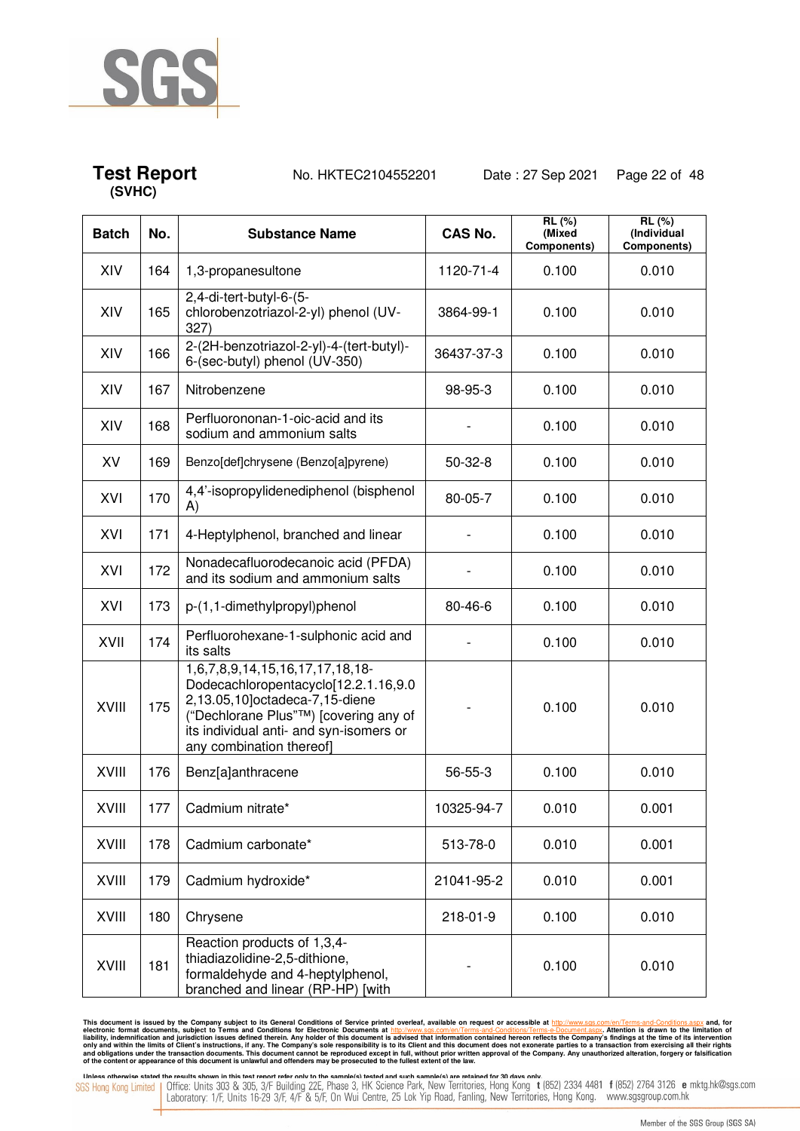

**Test Report** No. HKTEC2104552201 Date : 27 Sep 2021 Page 22 of 48

| <b>Batch</b> | No. | <b>Substance Name</b>                                                                                                                                                                                                     | <b>CAS No.</b> | RL (%)<br>(Mixed<br>Components) | <b>RL</b> (%)<br>(Individual<br>Components) |
|--------------|-----|---------------------------------------------------------------------------------------------------------------------------------------------------------------------------------------------------------------------------|----------------|---------------------------------|---------------------------------------------|
| XIV          | 164 | 1,3-propanesultone                                                                                                                                                                                                        | 1120-71-4      | 0.100                           | 0.010                                       |
| XIV          | 165 | 2,4-di-tert-butyl-6-(5-<br>chlorobenzotriazol-2-yl) phenol (UV-<br>327)                                                                                                                                                   | 3864-99-1      | 0.100                           | 0.010                                       |
| XIV          | 166 | 2-(2H-benzotriazol-2-yl)-4-(tert-butyl)-<br>6-(sec-butyl) phenol (UV-350)                                                                                                                                                 | 36437-37-3     | 0.100                           | 0.010                                       |
| XIV          | 167 | Nitrobenzene                                                                                                                                                                                                              | 98-95-3        | 0.100                           | 0.010                                       |
| XIV          | 168 | Perfluorononan-1-oic-acid and its<br>sodium and ammonium salts                                                                                                                                                            |                | 0.100                           | 0.010                                       |
| XV           | 169 | Benzo[def]chrysene (Benzo[a]pyrene)                                                                                                                                                                                       | $50-32-8$      | 0.100                           | 0.010                                       |
| XVI          | 170 | 4,4'-isopropylidenediphenol (bisphenol<br>A)                                                                                                                                                                              | 80-05-7        | 0.100                           | 0.010                                       |
| XVI          | 171 | 4-Heptylphenol, branched and linear                                                                                                                                                                                       |                | 0.100                           | 0.010                                       |
| XVI          | 172 | Nonadecafluorodecanoic acid (PFDA)<br>and its sodium and ammonium salts                                                                                                                                                   |                | 0.100                           | 0.010                                       |
| XVI          | 173 | p-(1,1-dimethylpropyl)phenol                                                                                                                                                                                              | 80-46-6        | 0.100                           | 0.010                                       |
| XVII         | 174 | Perfluorohexane-1-sulphonic acid and<br>its salts                                                                                                                                                                         |                | 0.100                           | 0.010                                       |
| <b>XVIII</b> | 175 | 1,6,7,8,9,14,15,16,17,17,18,18-<br>Dodecachloropentacyclo[12.2.1.16,9.0<br>2,13.05,10]octadeca-7,15-diene<br>("Dechlorane Plus"™) [covering any of<br>its individual anti- and syn-isomers or<br>any combination thereof] |                | 0.100                           | 0.010                                       |
| <b>XVIII</b> | 176 | Benz[a]anthracene                                                                                                                                                                                                         | 56-55-3        | 0.100                           | 0.010                                       |
| <b>XVIII</b> | 177 | Cadmium nitrate*                                                                                                                                                                                                          | 10325-94-7     | 0.010                           | 0.001                                       |
| <b>XVIII</b> | 178 | Cadmium carbonate*                                                                                                                                                                                                        | 513-78-0       | 0.010                           | 0.001                                       |
| <b>XVIII</b> | 179 | Cadmium hydroxide*                                                                                                                                                                                                        | 21041-95-2     | 0.010                           | 0.001                                       |
| XVIII        | 180 | Chrysene                                                                                                                                                                                                                  | 218-01-9       | 0.100                           | 0.010                                       |
| <b>XVIII</b> | 181 | Reaction products of 1,3,4-<br>thiadiazolidine-2,5-dithione,<br>formaldehyde and 4-heptylphenol,<br>branched and linear (RP-HP) [with                                                                                     |                | 0.100                           | 0.010                                       |

This document is issued by the Company subject to its General Conditions of Service printed overleaf, available on request or accessible at http://www.sgs.com/en/Terms-and-Conditions.aspx and, for electronic formats and Co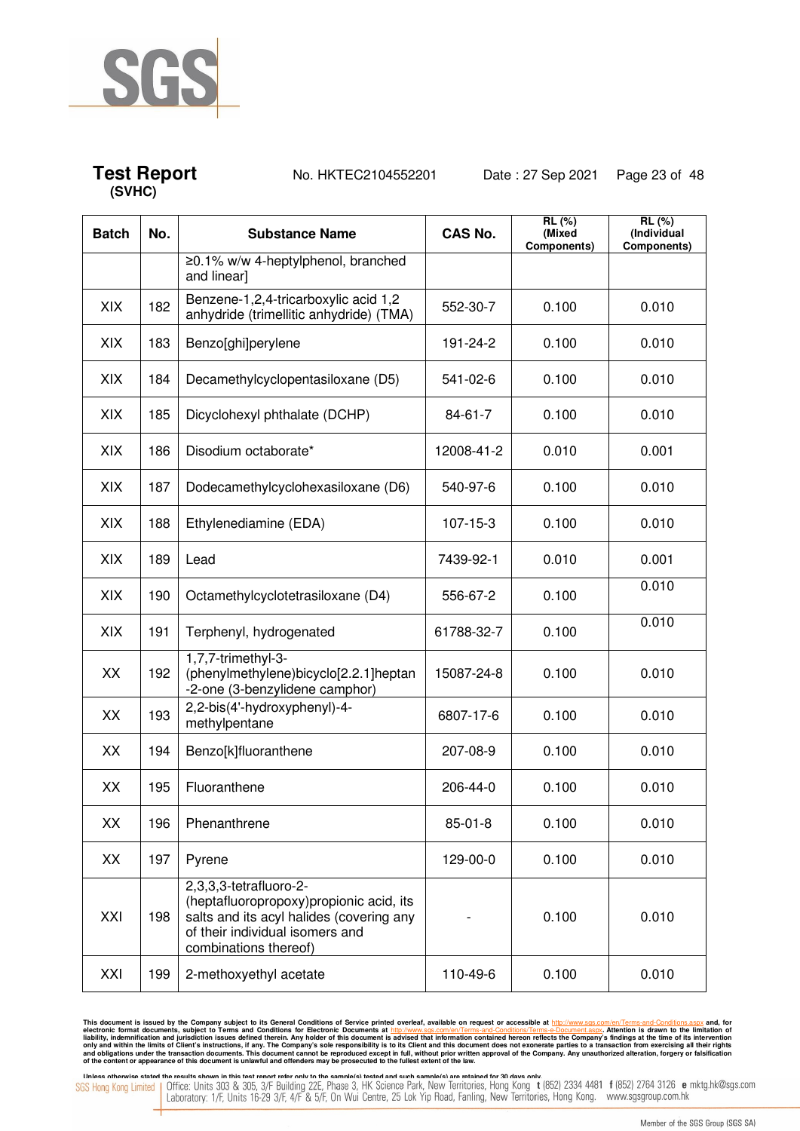

## **Test Report** No. HKTEC2104552201 Date : 27 Sep 2021 Page 23 of 48

| <b>Batch</b> | No. | <b>Substance Name</b>                                                                                                                                                     | <b>CAS No.</b> | <b>RL (%)</b><br>(Mixed<br>Components) | RL(%)<br>(Individual<br>Components) |
|--------------|-----|---------------------------------------------------------------------------------------------------------------------------------------------------------------------------|----------------|----------------------------------------|-------------------------------------|
|              |     | ≥0.1% w/w 4-heptylphenol, branched<br>and linear]                                                                                                                         |                |                                        |                                     |
| XIX          | 182 | Benzene-1,2,4-tricarboxylic acid 1,2<br>anhydride (trimellitic anhydride) (TMA)                                                                                           | 552-30-7       | 0.100                                  | 0.010                               |
| XIX          | 183 | Benzo[ghi]perylene                                                                                                                                                        | 191-24-2       | 0.100                                  | 0.010                               |
| XIX          | 184 | Decamethylcyclopentasiloxane (D5)                                                                                                                                         | 541-02-6       | 0.100                                  | 0.010                               |
| XIX          | 185 | Dicyclohexyl phthalate (DCHP)                                                                                                                                             | 84-61-7        | 0.100                                  | 0.010                               |
| XIX          | 186 | Disodium octaborate*                                                                                                                                                      | 12008-41-2     | 0.010                                  | 0.001                               |
| XIX          | 187 | Dodecamethylcyclohexasiloxane (D6)                                                                                                                                        | 540-97-6       | 0.100                                  | 0.010                               |
| XIX          | 188 | Ethylenediamine (EDA)                                                                                                                                                     | 107-15-3       | 0.100                                  | 0.010                               |
| XIX          | 189 | Lead                                                                                                                                                                      | 7439-92-1      | 0.010                                  | 0.001                               |
| XIX          | 190 | Octamethylcyclotetrasiloxane (D4)                                                                                                                                         | 556-67-2       | 0.100                                  | 0.010                               |
| XIX          | 191 | Terphenyl, hydrogenated                                                                                                                                                   | 61788-32-7     | 0.100                                  | 0.010                               |
| XX           | 192 | 1,7,7-trimethyl-3-<br>(phenylmethylene)bicyclo[2.2.1]heptan<br>-2-one (3-benzylidene camphor)                                                                             | 15087-24-8     | 0.100                                  | 0.010                               |
| XX           | 193 | 2,2-bis(4'-hydroxyphenyl)-4-<br>methylpentane                                                                                                                             | 6807-17-6      | 0.100                                  | 0.010                               |
| XX           | 194 | Benzo[k]fluoranthene                                                                                                                                                      | 207-08-9       | 0.100                                  | 0.010                               |
| XX           | 195 | Fluoranthene                                                                                                                                                              | 206-44-0       | 0.100                                  | 0.010                               |
| XX           | 196 | Phenanthrene                                                                                                                                                              | $85 - 01 - 8$  | 0.100                                  | 0.010                               |
| XX           | 197 | Pyrene                                                                                                                                                                    | 129-00-0       | 0.100                                  | 0.010                               |
| XXI          | 198 | 2,3,3,3-tetrafluoro-2-<br>(heptafluoropropoxy)propionic acid, its<br>salts and its acyl halides (covering any<br>of their individual isomers and<br>combinations thereof) |                | 0.100                                  | 0.010                               |
| XXI          | 199 | 2-methoxyethyl acetate                                                                                                                                                    | 110-49-6       | 0.100                                  | 0.010                               |

This document is issued by the Company subject to its General Conditions of Service printed overleaf, available on request or accessible at http://www.sgs.com/en/Terms-and-Conditions.aspx and, for electronic formats and Co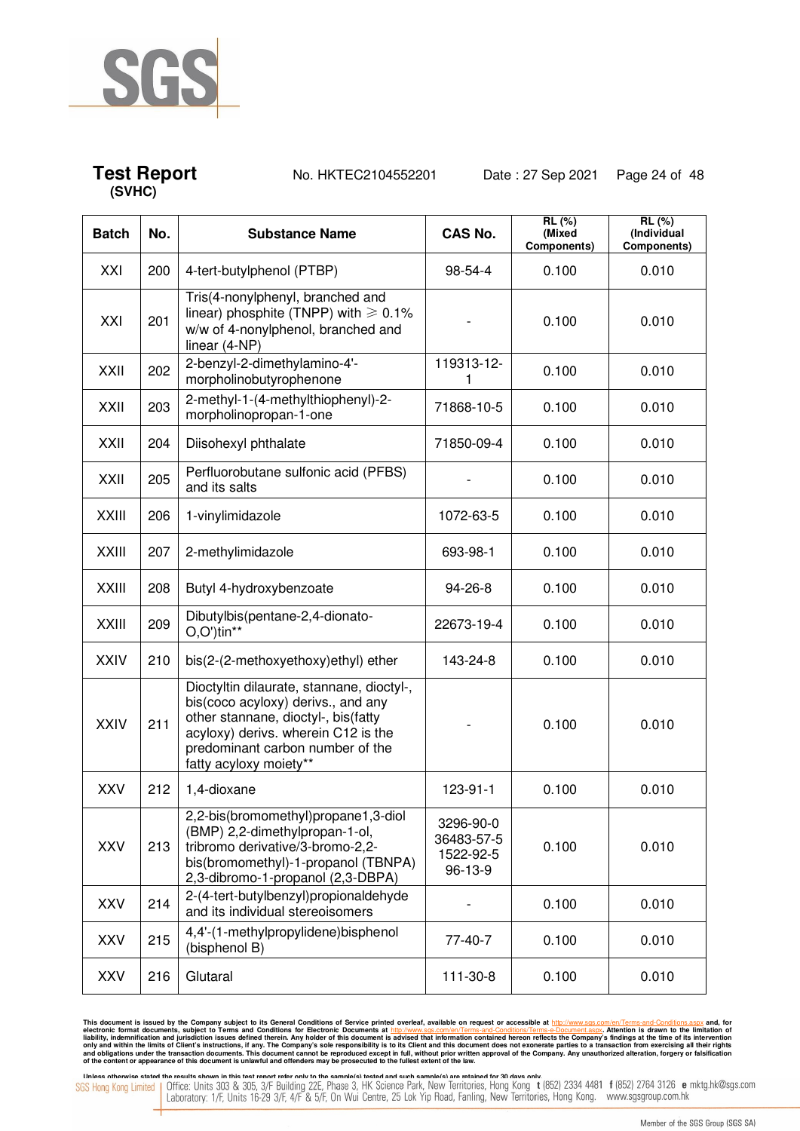

**Test Report** No. HKTEC2104552201 Date : 27 Sep 2021 Page 24 of 48

| <b>Batch</b> | No. | <b>Substance Name</b>                                                                                                                                                                                                       | <b>CAS No.</b>                                  | RL (%)<br>(Mixed<br>Components) | RL(%)<br>(Individual<br>Components) |
|--------------|-----|-----------------------------------------------------------------------------------------------------------------------------------------------------------------------------------------------------------------------------|-------------------------------------------------|---------------------------------|-------------------------------------|
| XXI          | 200 | 4-tert-butylphenol (PTBP)                                                                                                                                                                                                   | 98-54-4                                         | 0.100                           | 0.010                               |
| XXI          | 201 | Tris(4-nonylphenyl, branched and<br>linear) phosphite (TNPP) with $\geq 0.1\%$<br>w/w of 4-nonylphenol, branched and<br>linear (4-NP)                                                                                       |                                                 | 0.100                           | 0.010                               |
| <b>XXII</b>  | 202 | 2-benzyl-2-dimethylamino-4'-<br>morpholinobutyrophenone                                                                                                                                                                     | 119313-12-<br>1                                 | 0.100                           | 0.010                               |
| <b>XXII</b>  | 203 | 2-methyl-1-(4-methylthiophenyl)-2-<br>morpholinopropan-1-one                                                                                                                                                                | 71868-10-5                                      | 0.100                           | 0.010                               |
| <b>XXII</b>  | 204 | Diisohexyl phthalate                                                                                                                                                                                                        | 71850-09-4                                      | 0.100                           | 0.010                               |
| <b>XXII</b>  | 205 | Perfluorobutane sulfonic acid (PFBS)<br>and its salts                                                                                                                                                                       |                                                 | 0.100                           | 0.010                               |
| <b>XXIII</b> | 206 | 1-vinylimidazole                                                                                                                                                                                                            | 1072-63-5                                       | 0.100                           | 0.010                               |
| <b>XXIII</b> | 207 | 2-methylimidazole                                                                                                                                                                                                           | 693-98-1                                        | 0.100                           | 0.010                               |
| <b>XXIII</b> | 208 | Butyl 4-hydroxybenzoate                                                                                                                                                                                                     | 94-26-8                                         | 0.100                           | 0.010                               |
| <b>XXIII</b> | 209 | Dibutylbis(pentane-2,4-dionato-<br>O,O')tin**                                                                                                                                                                               | 22673-19-4                                      | 0.100                           | 0.010                               |
| <b>XXIV</b>  | 210 | bis(2-(2-methoxyethoxy)ethyl) ether                                                                                                                                                                                         | 143-24-8                                        | 0.100                           | 0.010                               |
| <b>XXIV</b>  | 211 | Dioctyltin dilaurate, stannane, dioctyl-,<br>bis(coco acyloxy) derivs., and any<br>other stannane, dioctyl-, bis(fatty<br>acyloxy) derivs. wherein C12 is the<br>predominant carbon number of the<br>fatty acyloxy moiety** |                                                 | 0.100                           | 0.010                               |
| <b>XXV</b>   | 212 | 1,4-dioxane                                                                                                                                                                                                                 | 123-91-1                                        | 0.100                           | 0.010                               |
| <b>XXV</b>   | 213 | 2,2-bis(bromomethyl)propane1,3-diol<br>(BMP) 2,2-dimethylpropan-1-ol,<br>tribromo derivative/3-bromo-2,2-<br>bis(bromomethyl)-1-propanol (TBNPA)<br>2,3-dibromo-1-propanol (2,3-DBPA)                                       | 3296-90-0<br>36483-57-5<br>1522-92-5<br>96-13-9 | 0.100                           | 0.010                               |
| <b>XXV</b>   | 214 | 2-(4-tert-butylbenzyl)propionaldehyde<br>and its individual stereoisomers                                                                                                                                                   |                                                 | 0.100                           | 0.010                               |
| <b>XXV</b>   | 215 | 4,4'-(1-methylpropylidene)bisphenol<br>(bisphenol B)                                                                                                                                                                        | 77-40-7                                         | 0.100                           | 0.010                               |
| <b>XXV</b>   | 216 | Glutaral                                                                                                                                                                                                                    | 111-30-8                                        | 0.100                           | 0.010                               |

This document is issued by the Company subject to its General Conditions of Service printed overleaf, available on request or accessible at http://www.sgs.com/en/Terms-and-Conditions.aspx and, for electronic formats and Co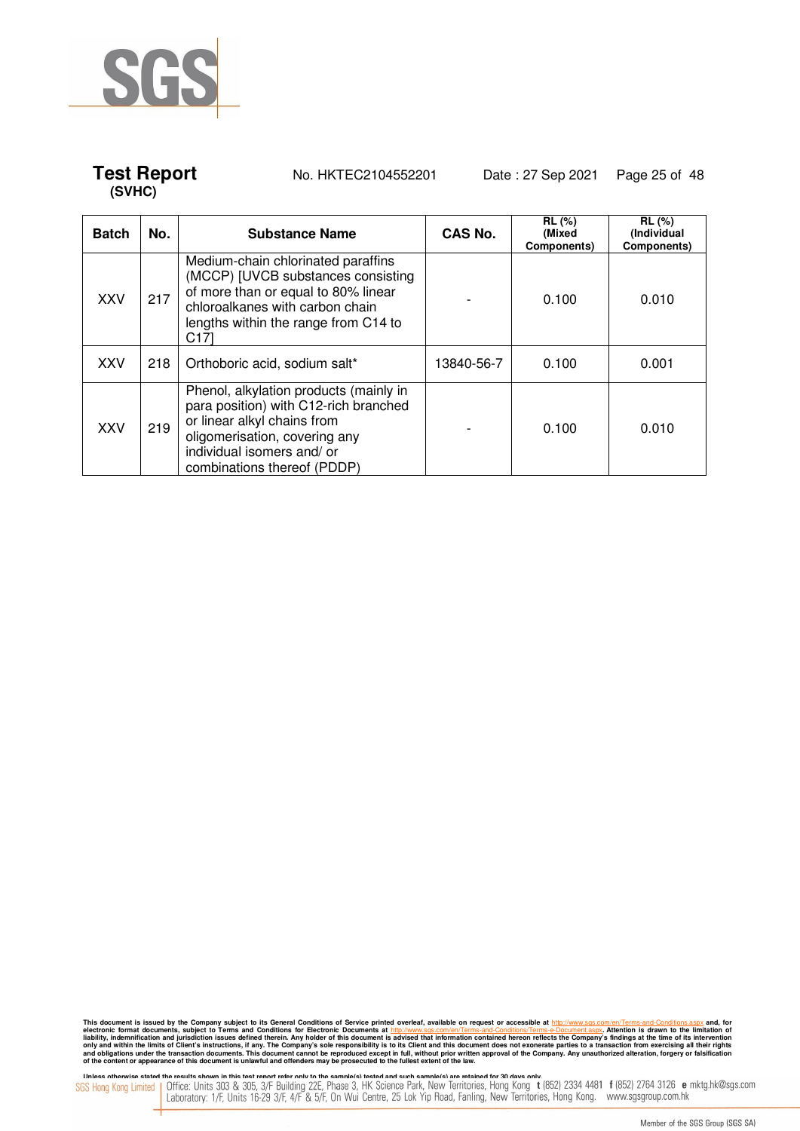

## **Test Report** No. HKTEC2104552201 Date : 27 Sep 2021 Page 25 of 48

| <b>Batch</b> | No. | <b>Substance Name</b>                                                                                                                                                                                        | CAS No.    | $RL$ (%)<br>(Mixed<br>Components) | <b>RL</b> (%)<br>(Individual<br>Components) |
|--------------|-----|--------------------------------------------------------------------------------------------------------------------------------------------------------------------------------------------------------------|------------|-----------------------------------|---------------------------------------------|
| <b>XXV</b>   | 217 | Medium-chain chlorinated paraffins<br>(MCCP) [UVCB substances consisting<br>of more than or equal to 80% linear<br>chloroalkanes with carbon chain<br>lengths within the range from C14 to<br>C171           |            | 0.100                             | 0.010                                       |
| <b>XXV</b>   | 218 | Orthoboric acid, sodium salt*                                                                                                                                                                                | 13840-56-7 | 0.100                             | 0.001                                       |
| <b>XXV</b>   | 219 | Phenol, alkylation products (mainly in<br>para position) with C12-rich branched<br>or linear alkyl chains from<br>oligomerisation, covering any<br>individual isomers and/ or<br>combinations thereof (PDDP) |            | 0.100                             | 0.010                                       |

This document is issued by the Company subject to its General Conditions of Service printed overleaf, available on request or accessible at http://www.sgs.com/en/Terms-and-Conditions.aspx and, for electronic formats and Co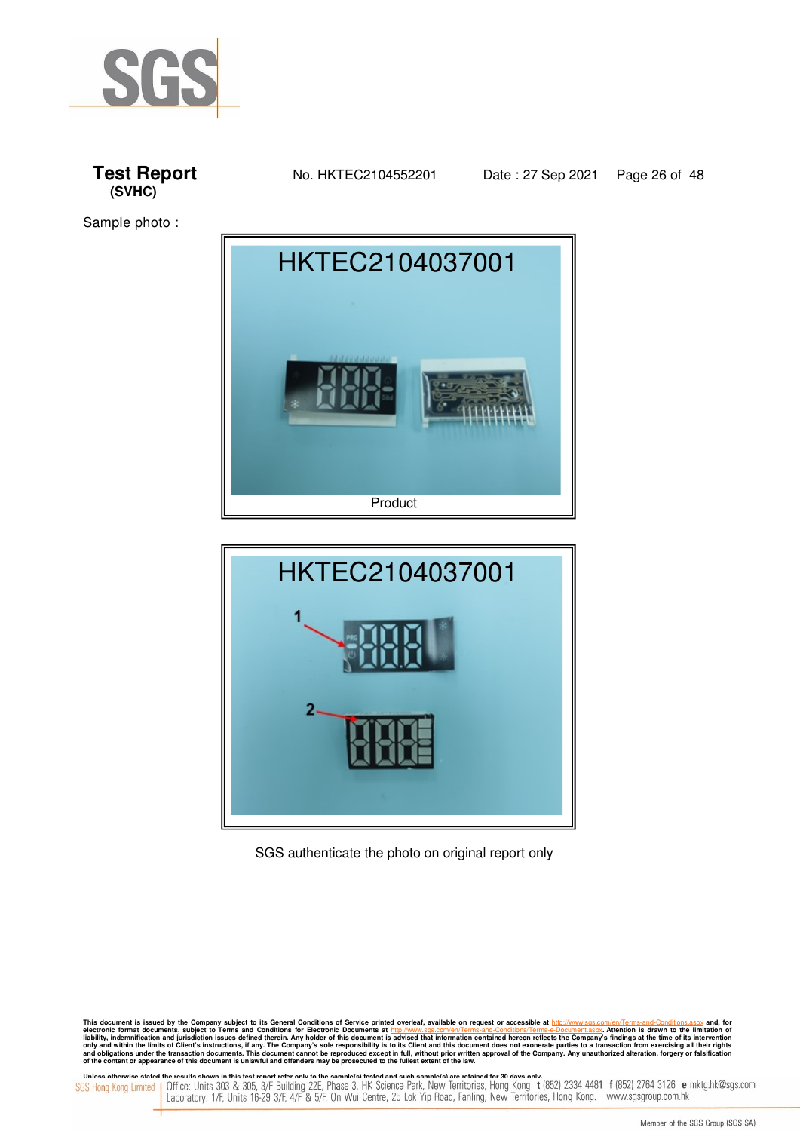







#### SGS authenticate the photo on original report only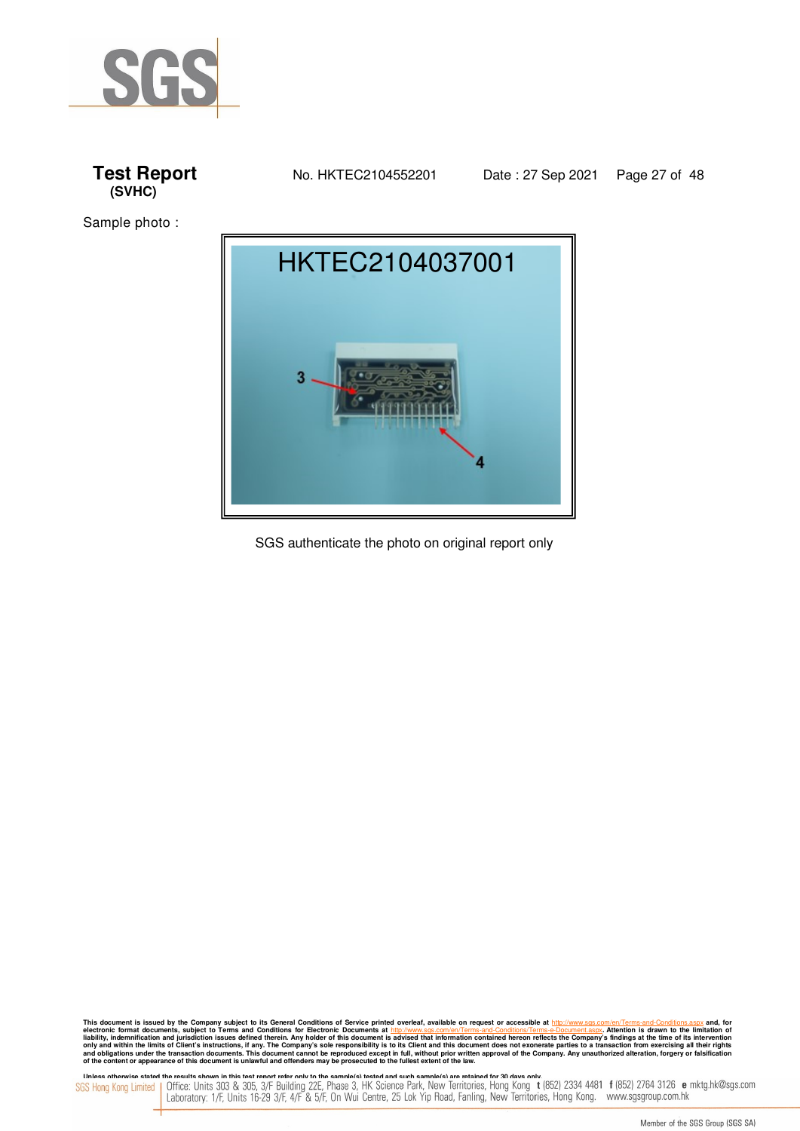





SGS authenticate the photo on original report only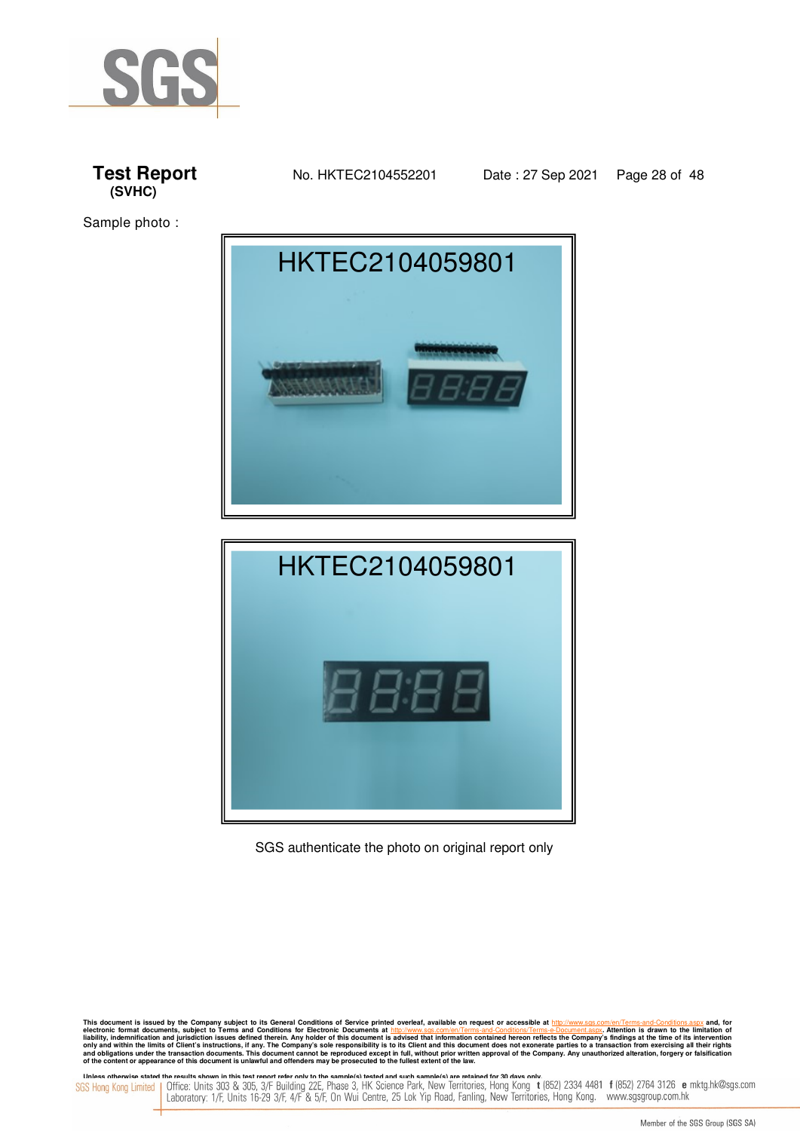







SGS authenticate the photo on original report only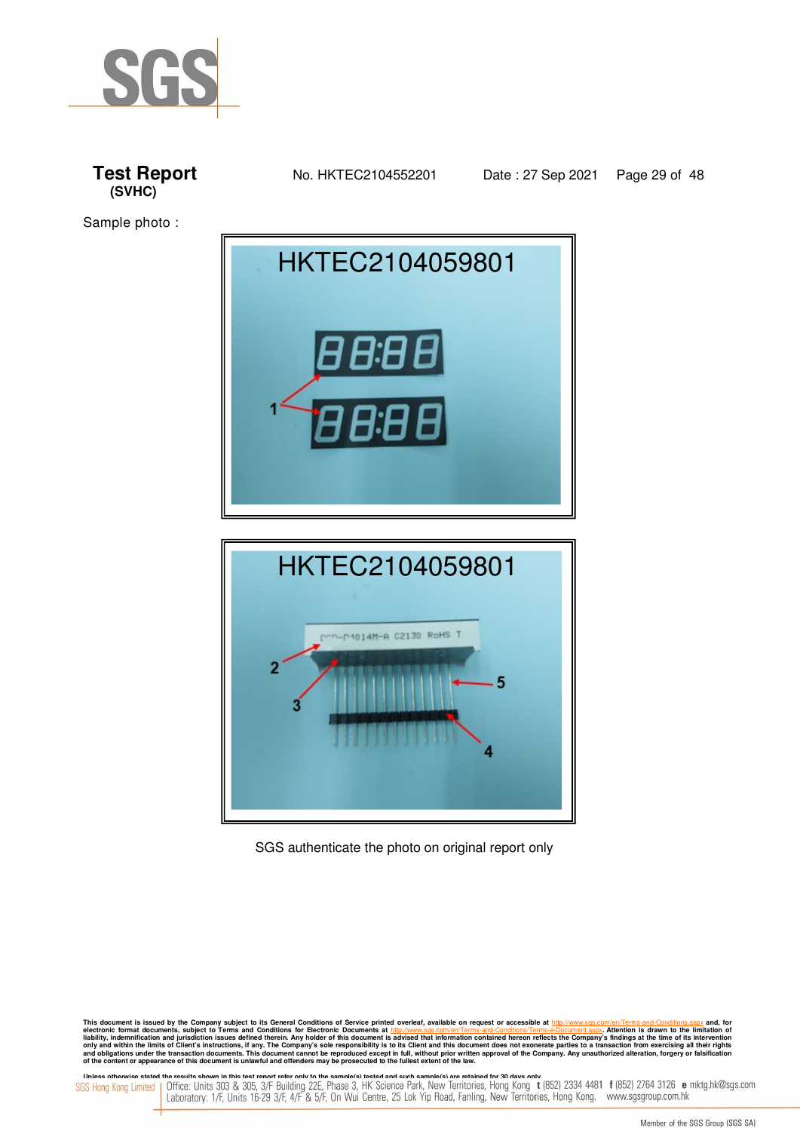







SGS authenticate the photo on original report only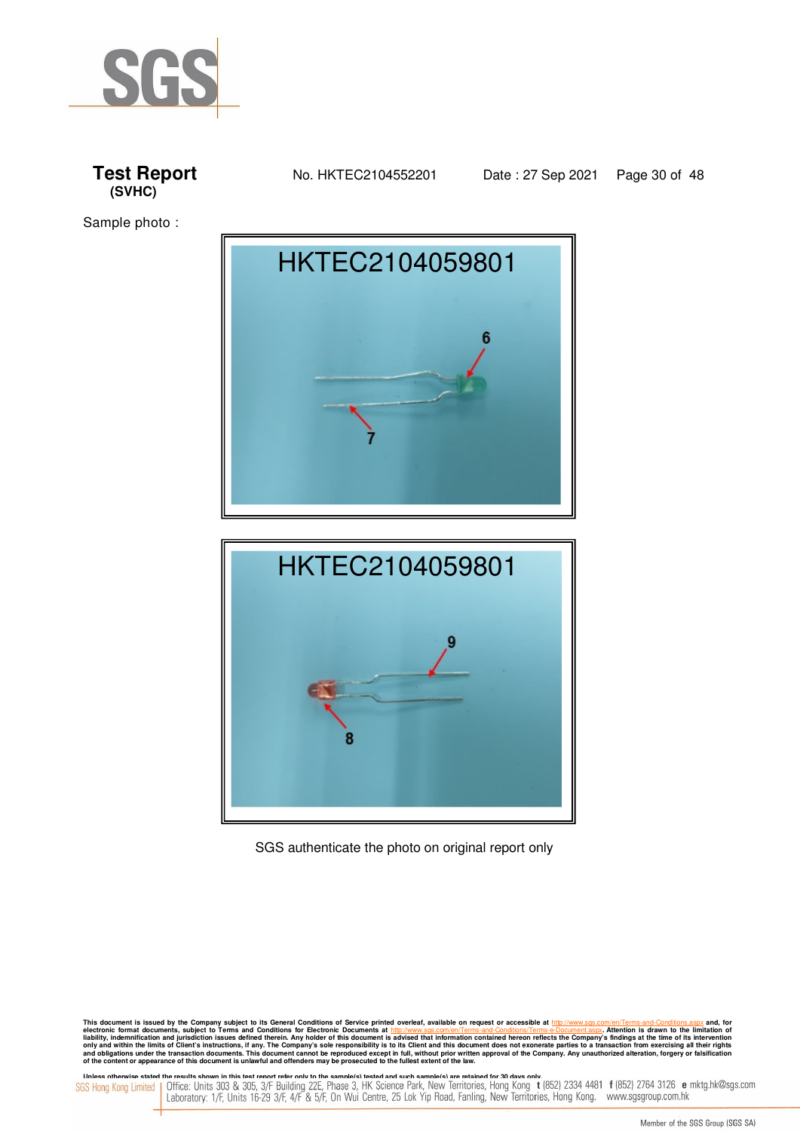







SGS authenticate the photo on original report only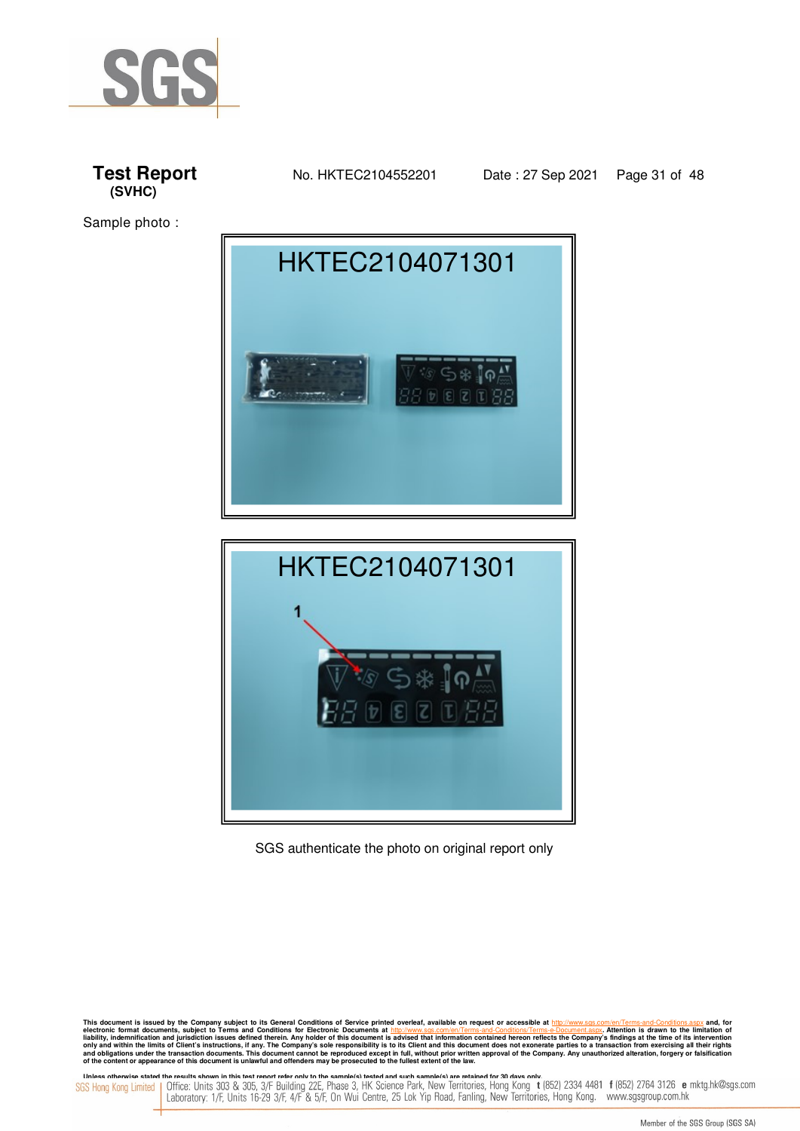







SGS authenticate the photo on original report only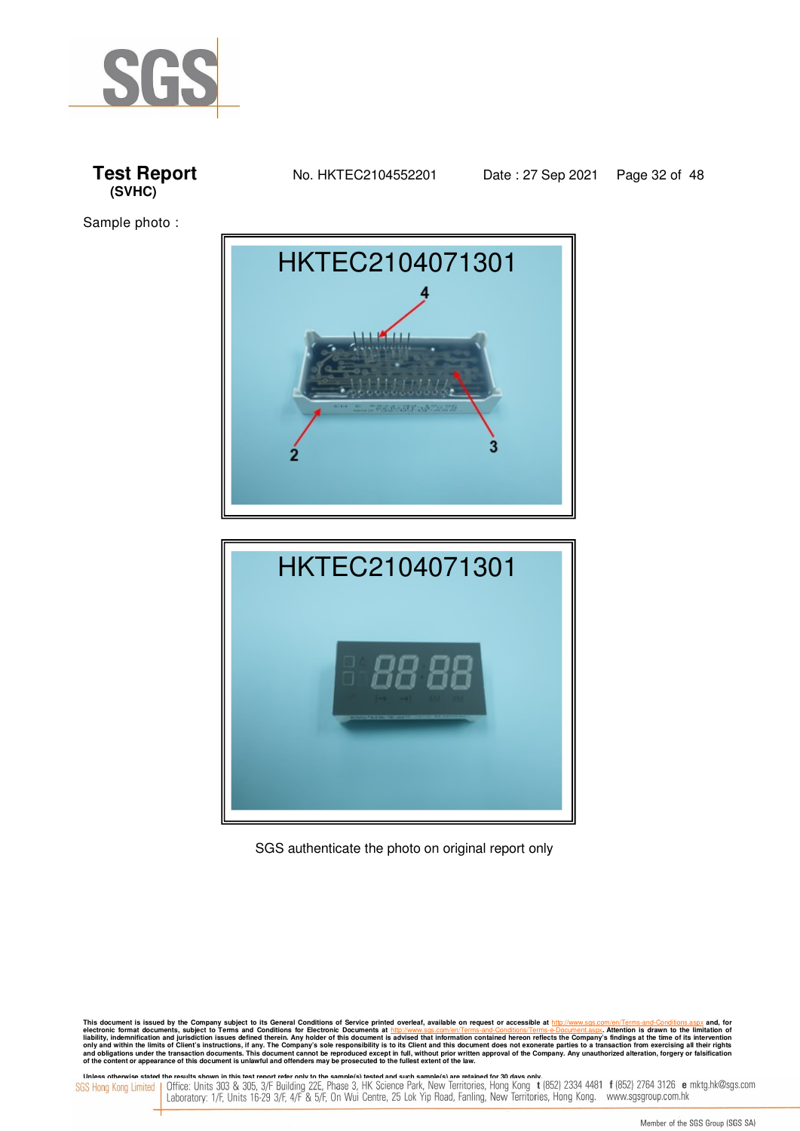

Sample photo :





SGS authenticate the photo on original report only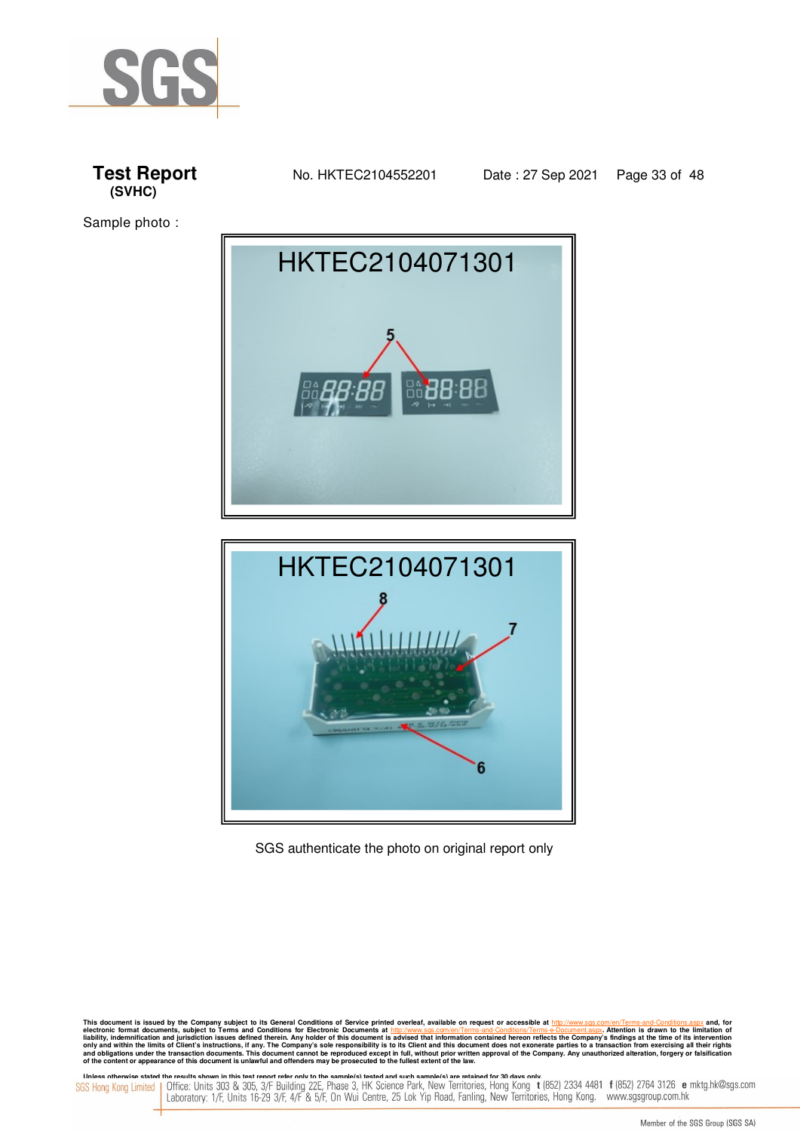







SGS authenticate the photo on original report only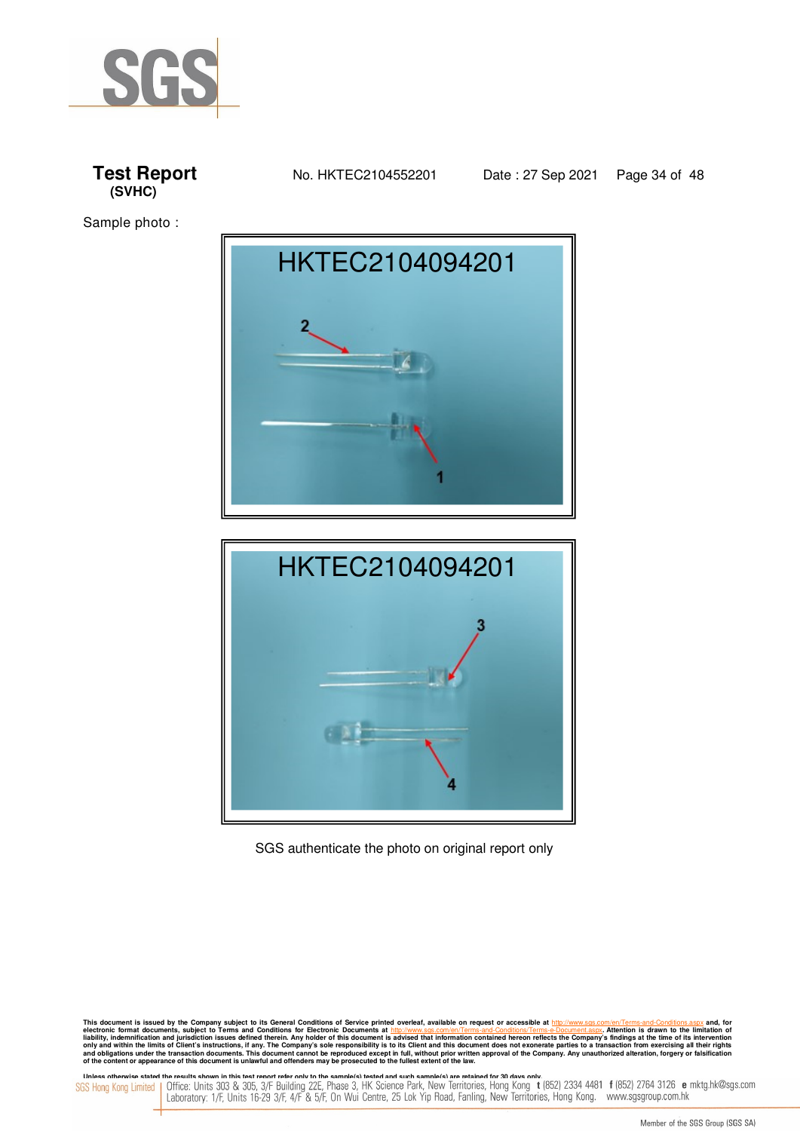







SGS authenticate the photo on original report only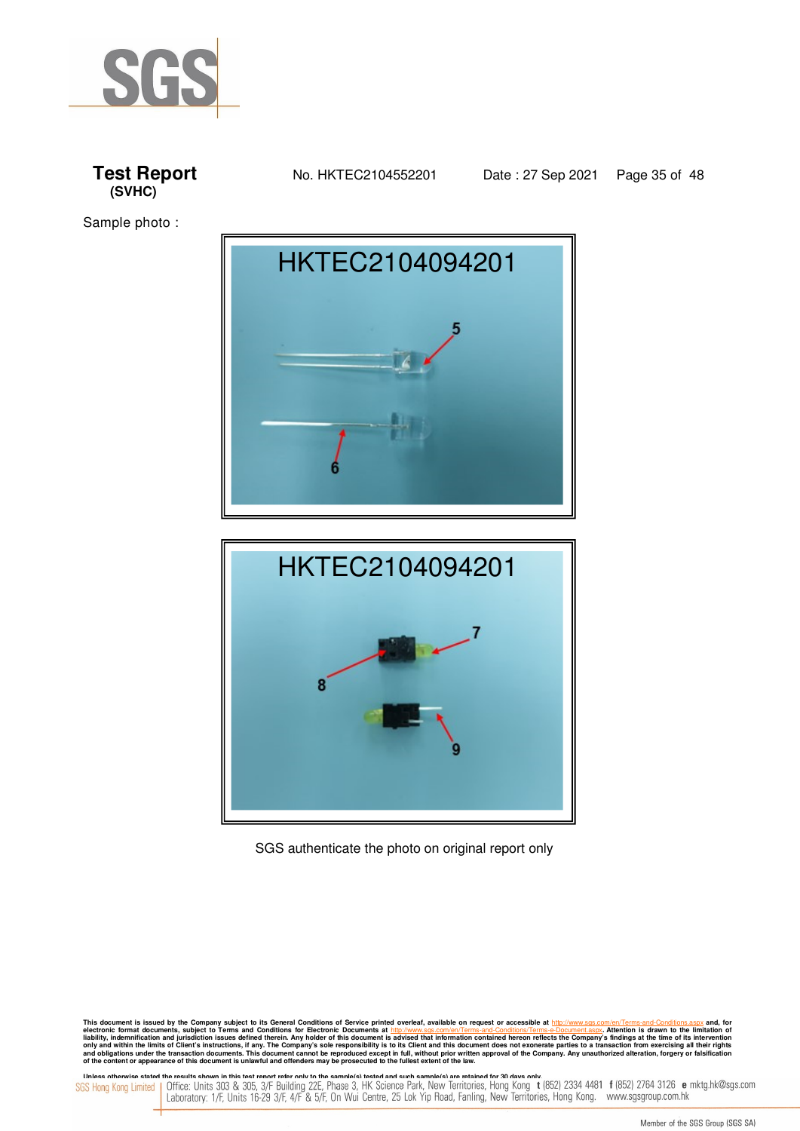







SGS authenticate the photo on original report only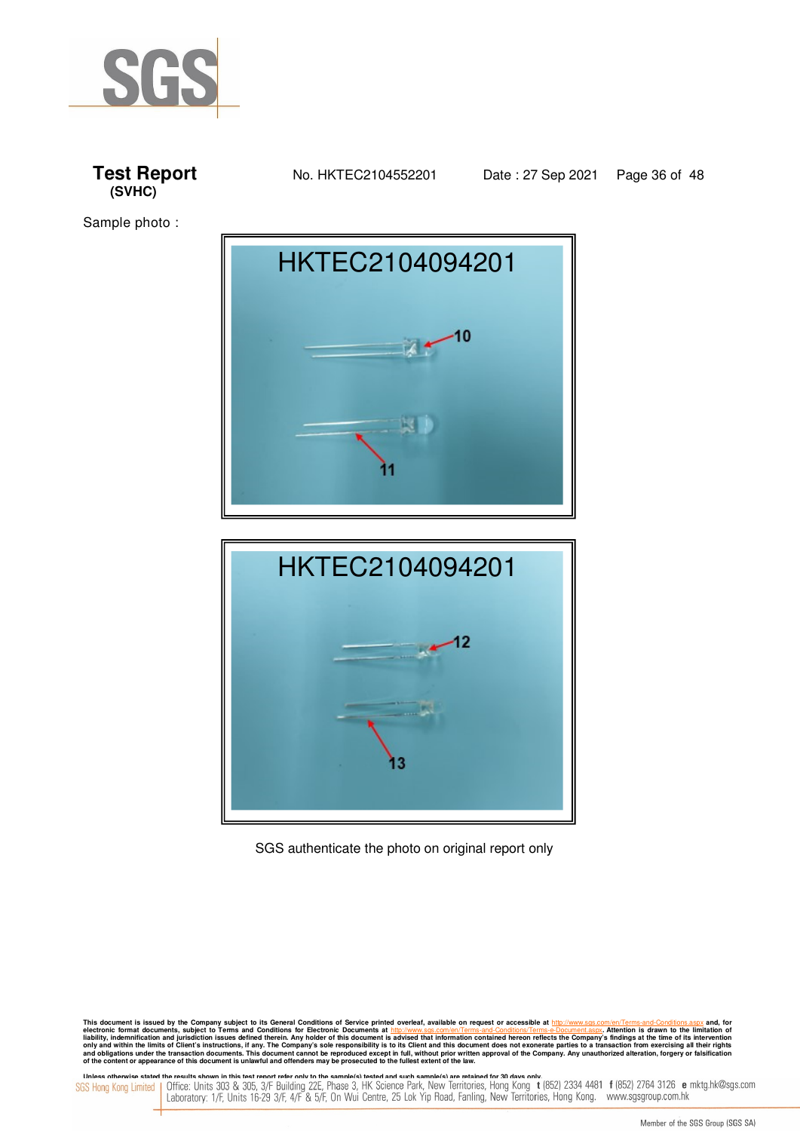







SGS authenticate the photo on original report only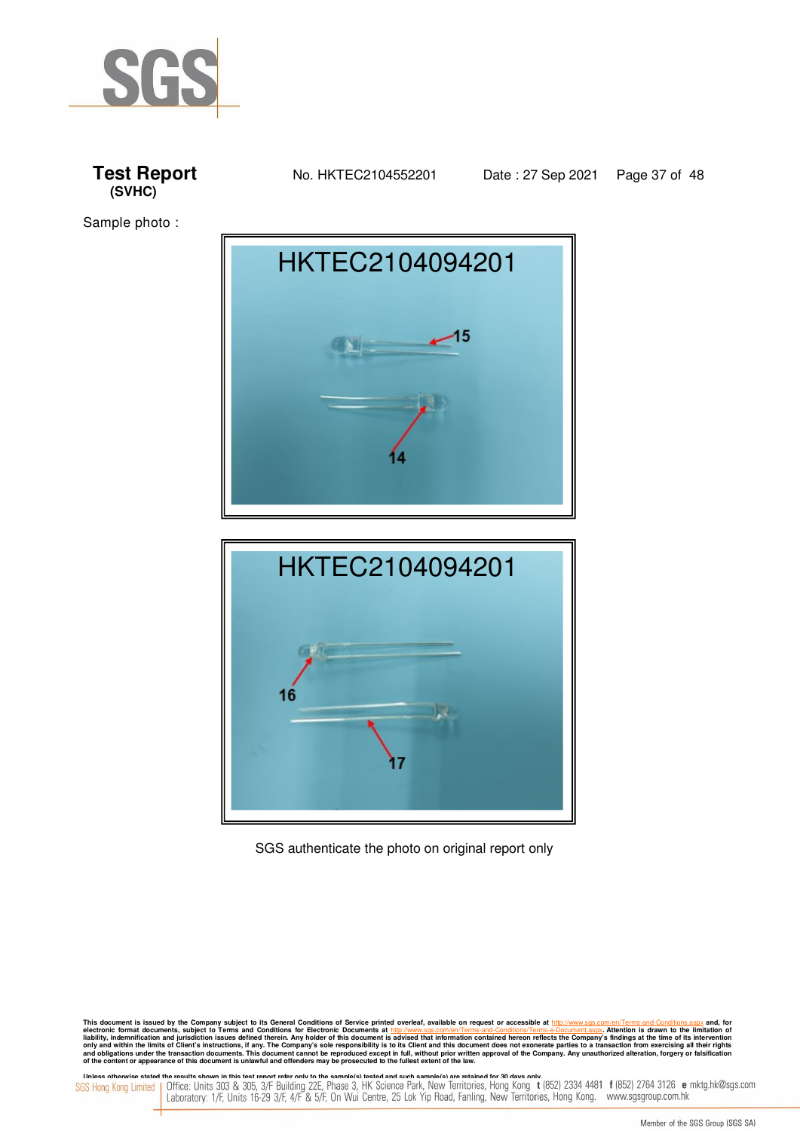







SGS authenticate the photo on original report only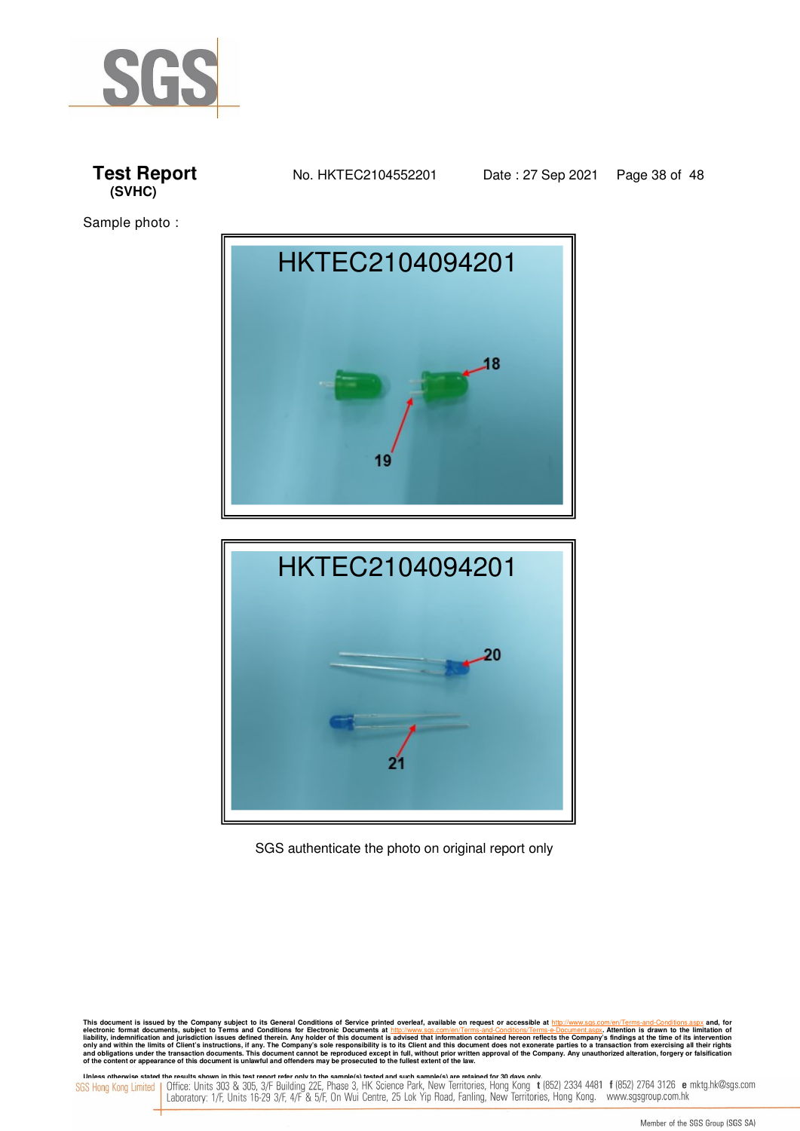







#### SGS authenticate the photo on original report only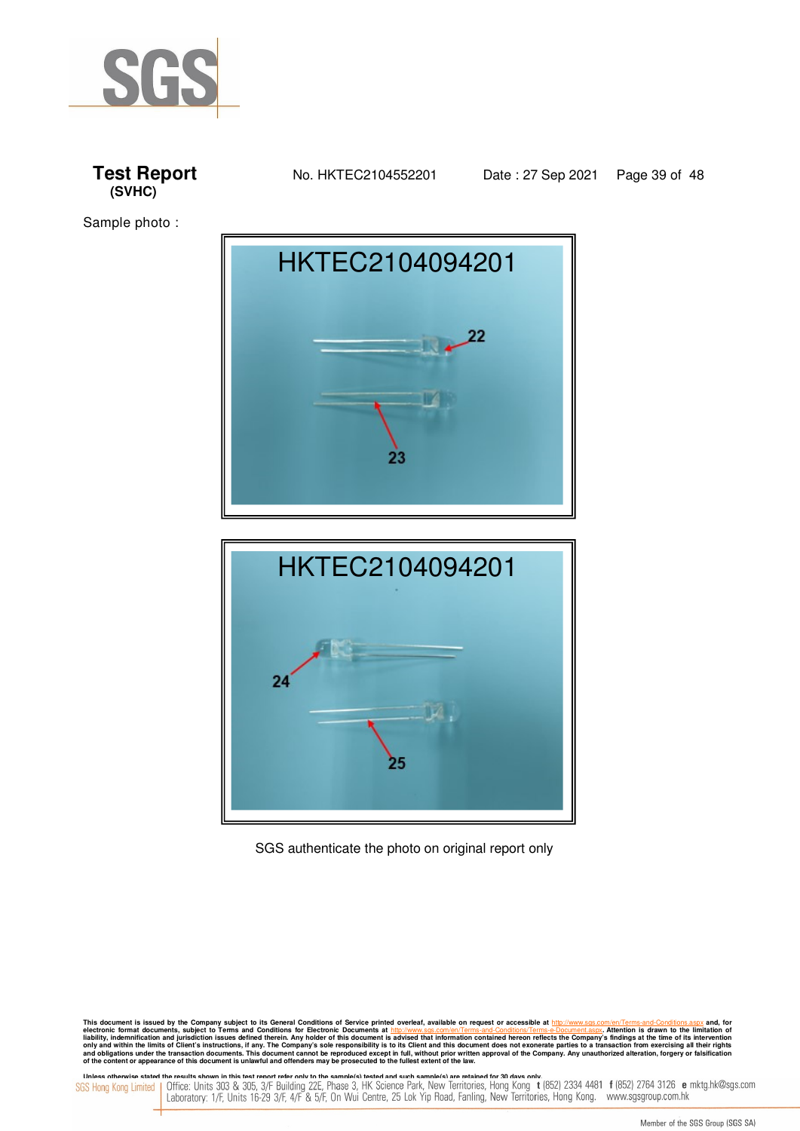







SGS authenticate the photo on original report only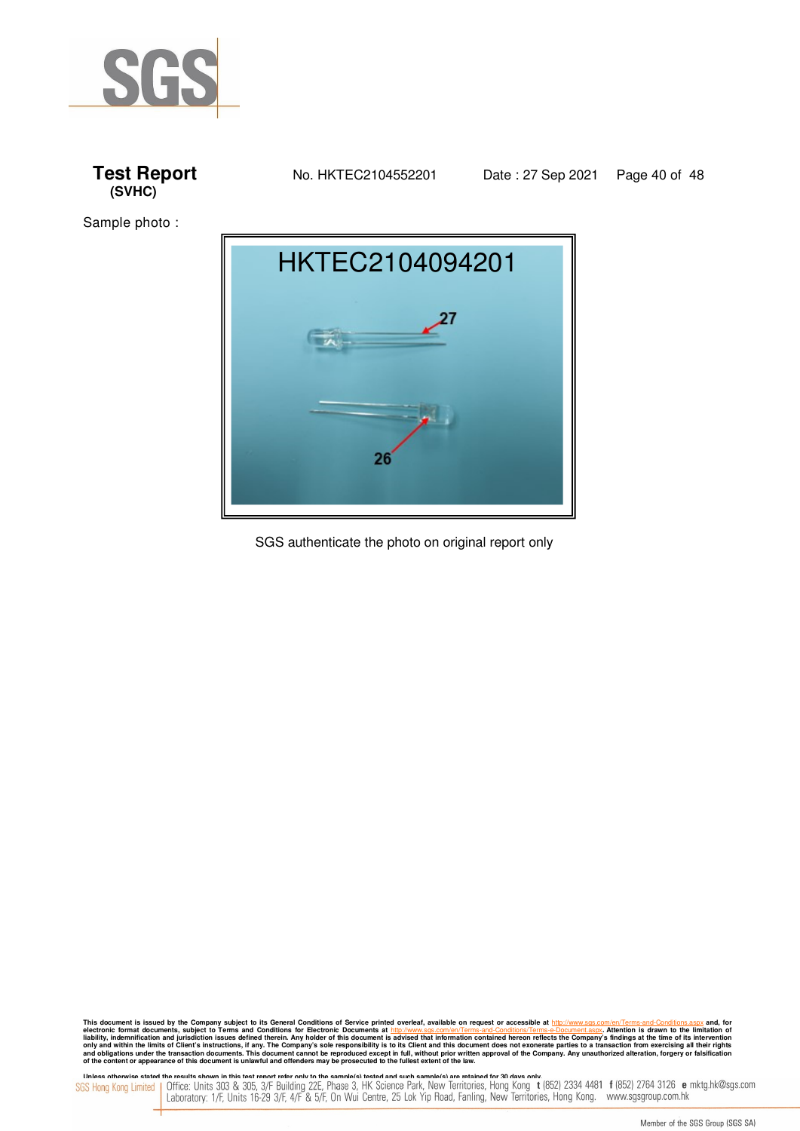





SGS authenticate the photo on original report only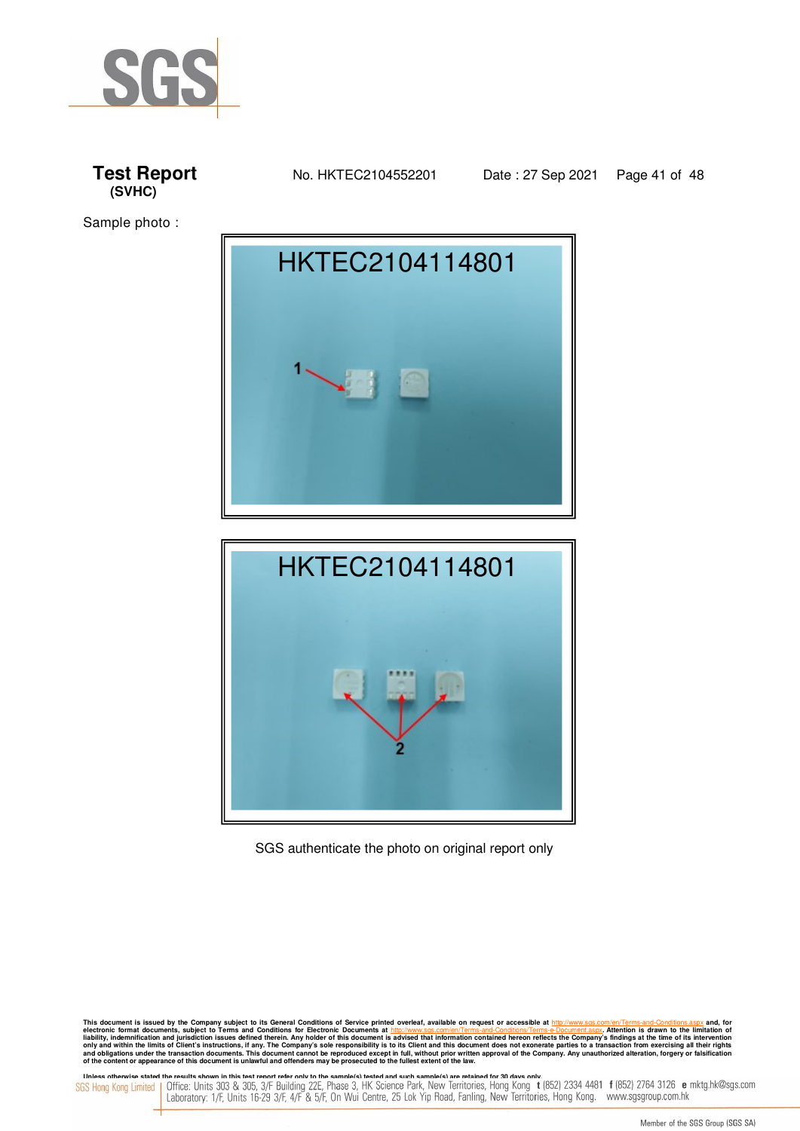







SGS authenticate the photo on original report only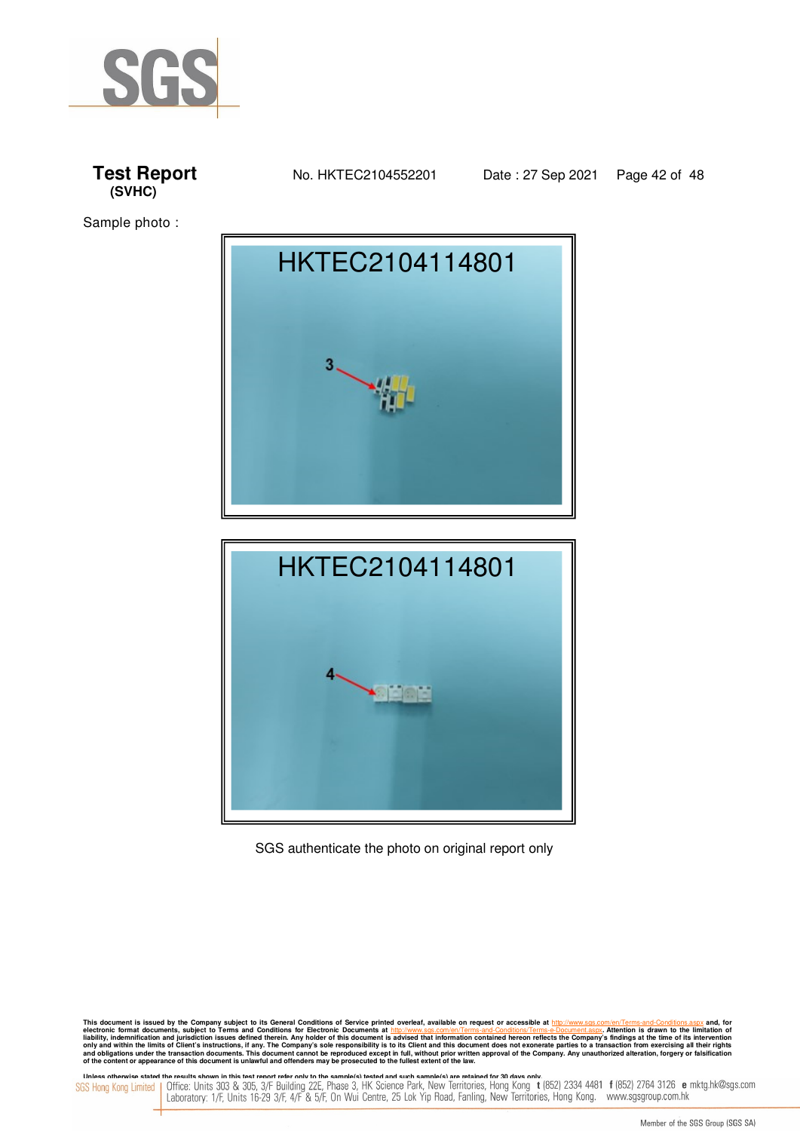







SGS authenticate the photo on original report only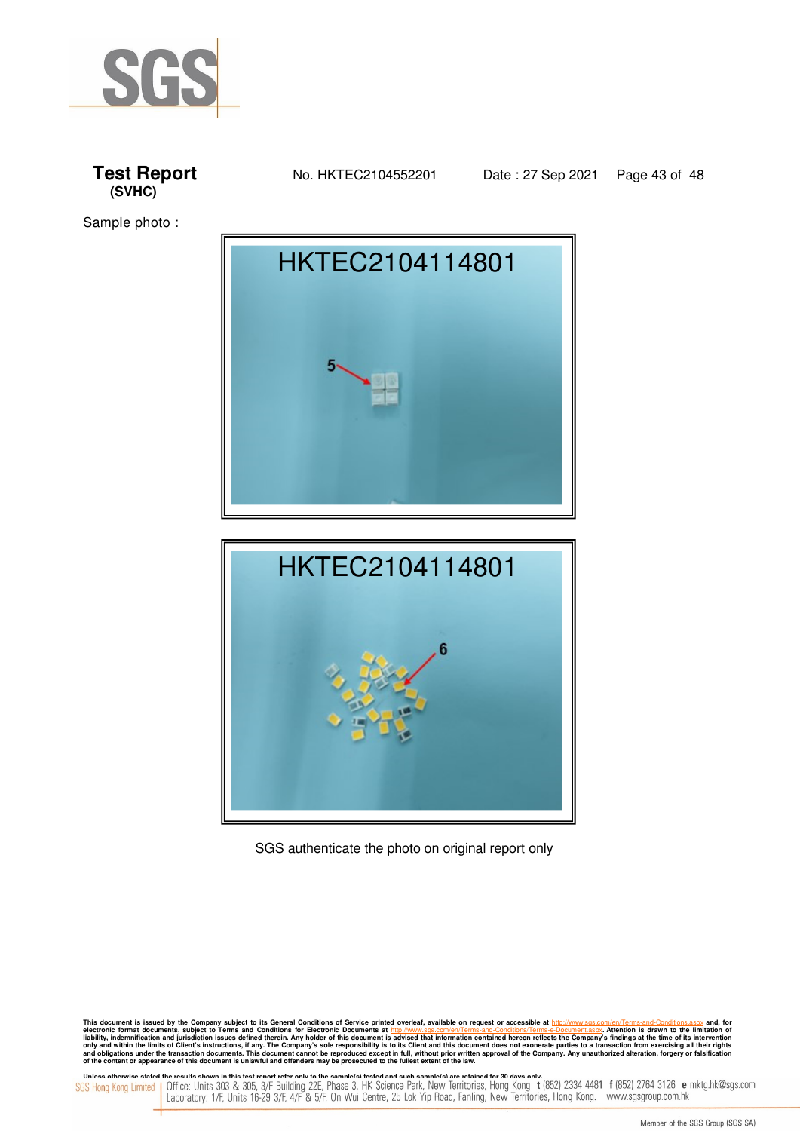







SGS authenticate the photo on original report only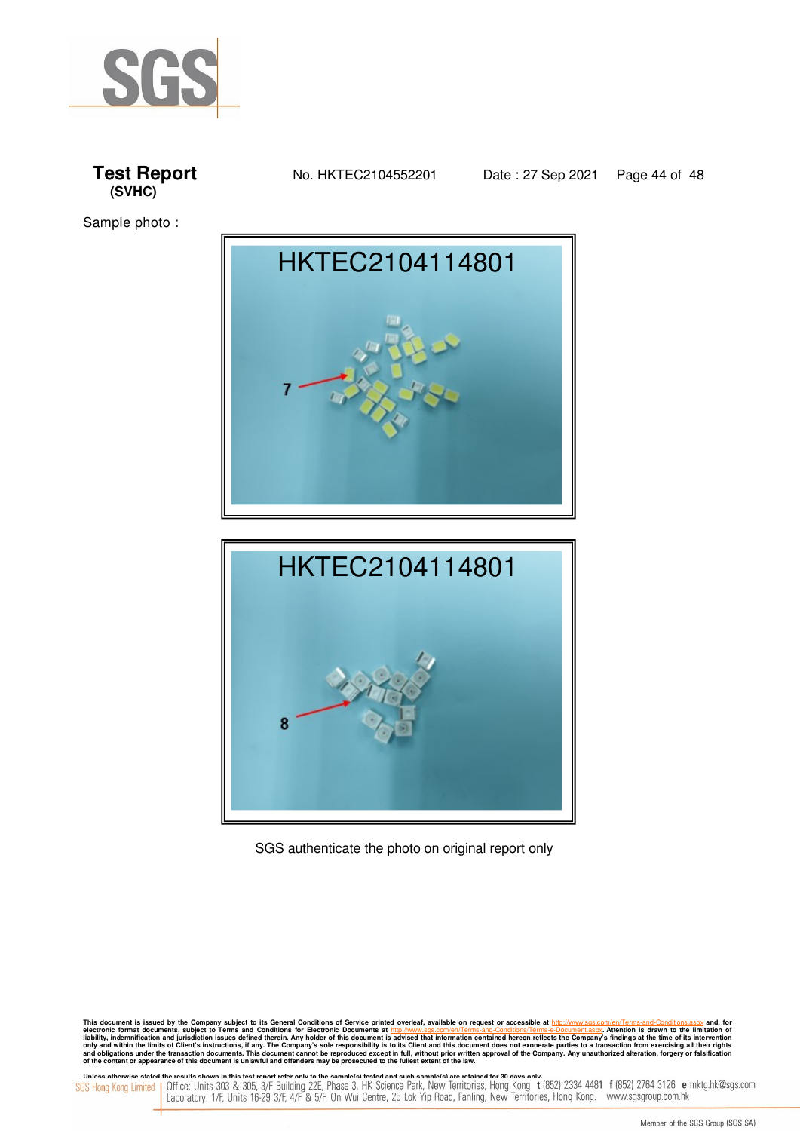







SGS authenticate the photo on original report only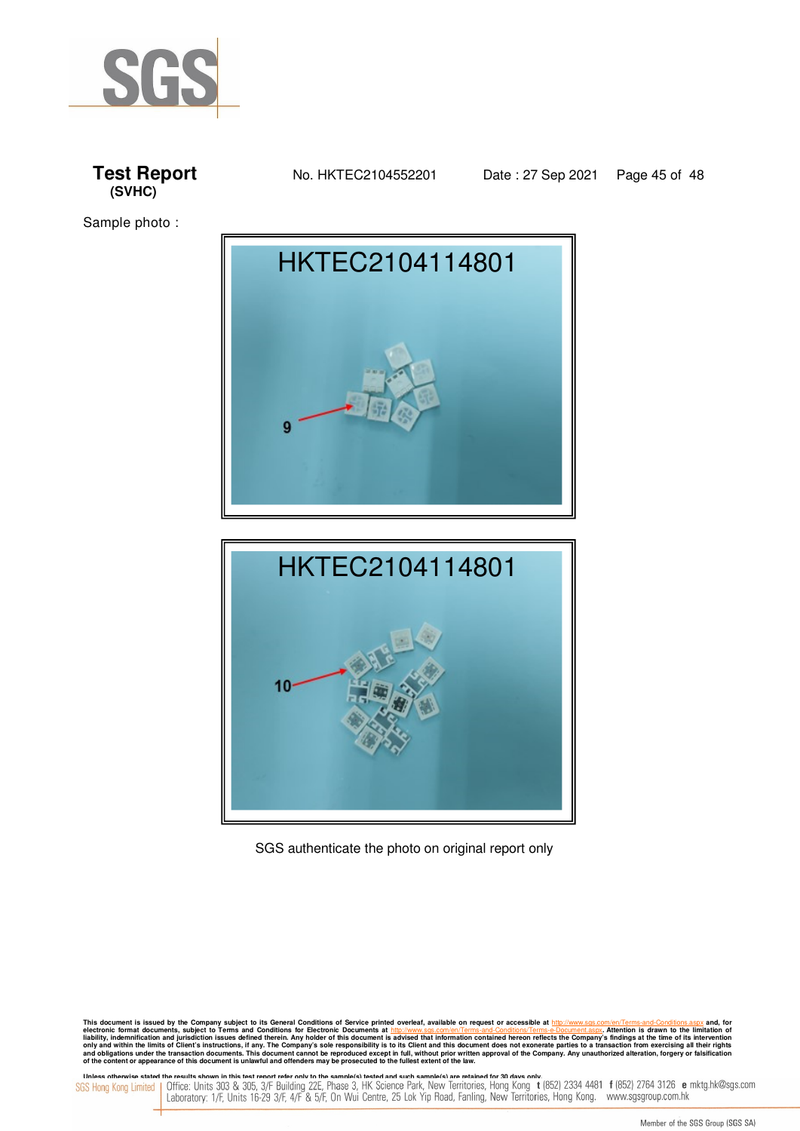







SGS authenticate the photo on original report only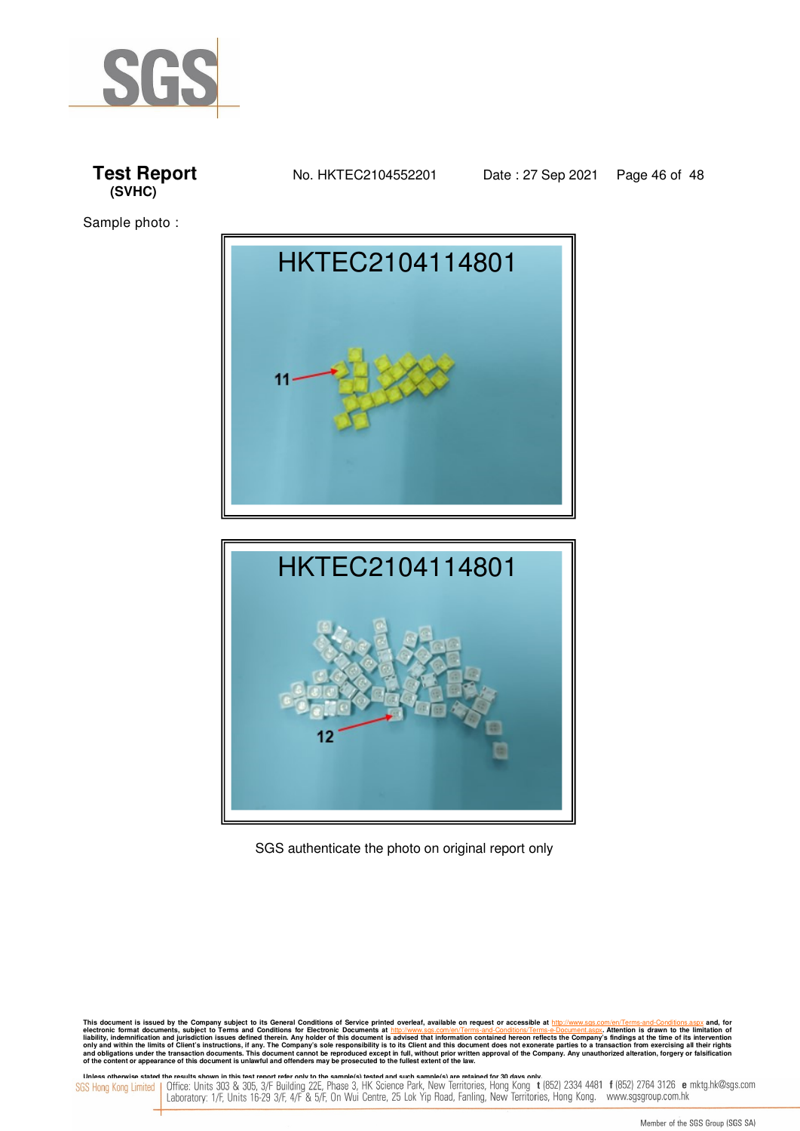







SGS authenticate the photo on original report only

This document is issued by the Company subject to its General Conditions of Service printed overleaf, available on request or accessible at electronic format documents, subject to Terms and Conditions. Terms-and-Conditions electronic format documents, subject to Terms and Conditions for Electronic Documents at http://www.sgs.com/en/Terms-and-Conditions/Terms-e-Document.aspx. Attention is drawn to the limitation of<br>liability, indemnification **of the content or appearance of this document is unlawful and offenders may be prosecuted to the fullest extent of the law.**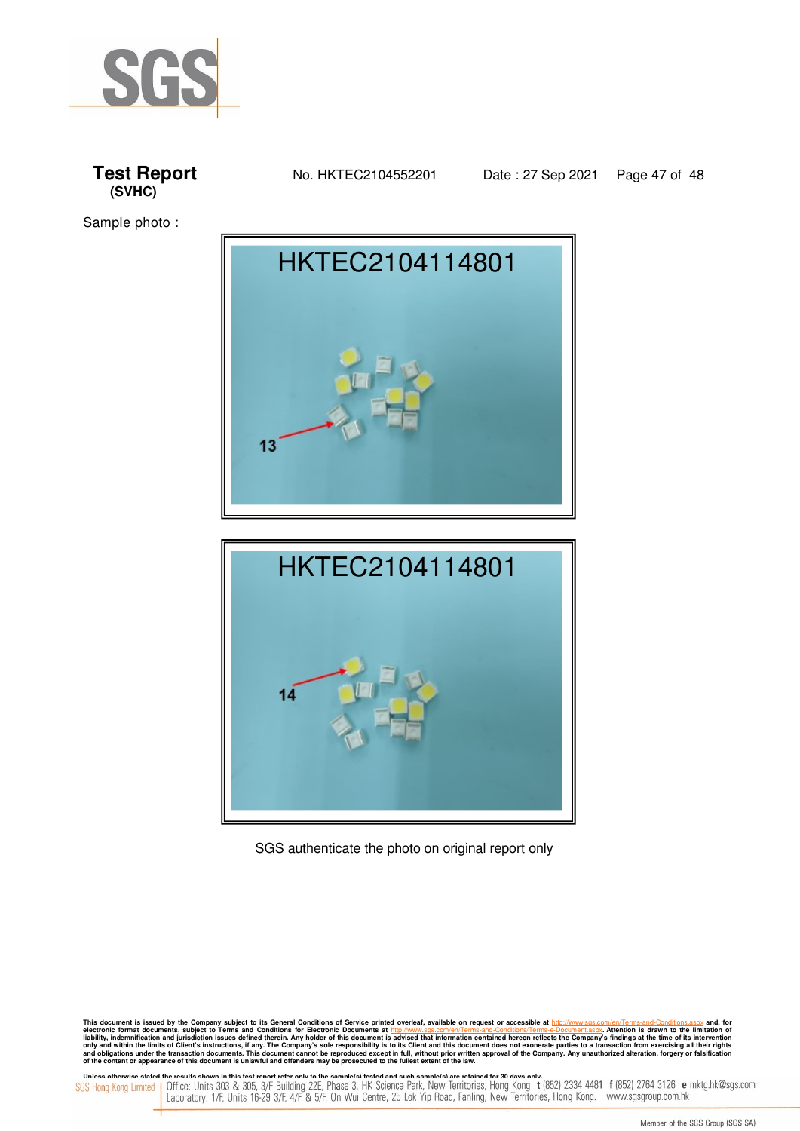







SGS authenticate the photo on original report only